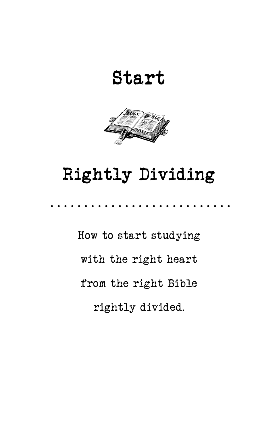Start



# Rightly Dividing

How to start studying with the right heart from the right Bible rightly divided.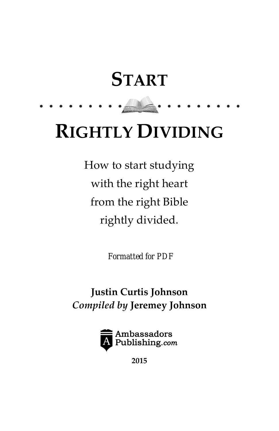# **START**

. . . . . . . . . <u>. . .</u>

# RIGHTLY DIVIDING

How to start studying with the right heart from the right Bible rightly divided.

*Formatted for PDF*

Justin Curtis Johnson Compiled by Jeremey Johnson



2015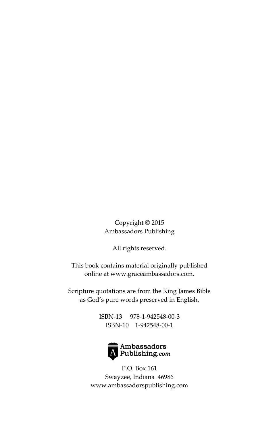Copyright © 2015 Ambassadors Publishing

All rights reserved.

This book contains material originally published online at [www.graceambassadors.com.](http://www.graceambassadors.com)

Scripture quotations are from the King James Bible as God's pure words preserved in English.

> ISBN-13 978-1-942548-00-3 ISBN-10 1-942548-00-1



P.O. Box 161 Swayzee, Indiana 46986 [www.ambassadorspublishing.com](http://www.ambassadorspublishing.com)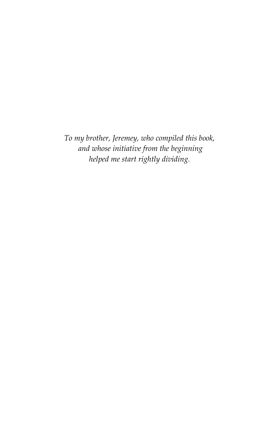To my brother, Jeremey, who compiled this book, and whose initiative from the beginning helped me start rightly dividing.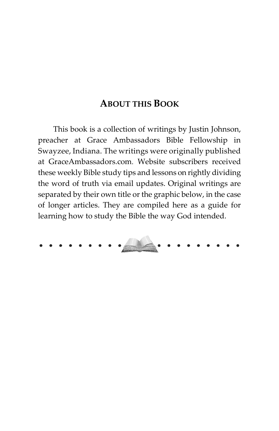#### ABOUT THIS BOOK

This book is a collection of writings by Justin Johnson, preacher at Grace Ambassadors Bible Fellowship in Swayzee, Indiana. The writings were originally published at [GraceAmbassadors.com](http://www.graceambassadors.com). Website subscribers received these weekly Bible study tips and lessons on rightly dividing the word of truth via email updates. Original writings are separated by their own title or the graphic below, in the case of longer articles. They are compiled here as a guide for learning how to study the Bible the way God intended.

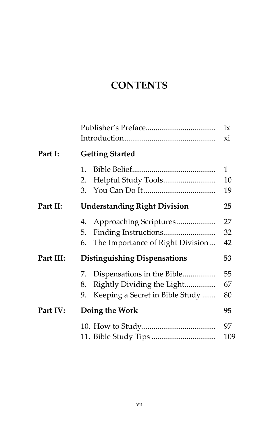## **CONTENTS**

|           |                                                                                 | ix<br>хi       |
|-----------|---------------------------------------------------------------------------------|----------------|
| Part I:   | <b>Getting Started</b>                                                          |                |
|           | 1.<br>2.<br>3.                                                                  | 1<br>10<br>19  |
| Part II:  | <b>Understanding Right Division</b>                                             | 25             |
|           | 4.<br>5.<br>The Importance of Right Division<br>6.                              | 27<br>32<br>42 |
| Part III: | <b>Distinguishing Dispensations</b>                                             | 53             |
|           | 7.<br>Rightly Dividing the Light<br>8.<br>Keeping a Secret in Bible Study<br>9. | 55<br>67<br>80 |
| Part IV:  | Doing the Work                                                                  | 95             |
|           |                                                                                 | 97<br>109      |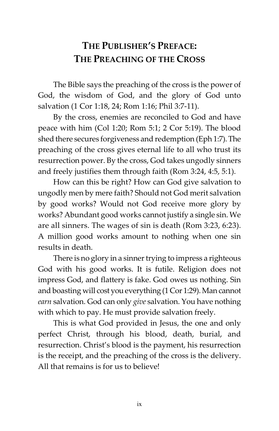### <span id="page-6-0"></span>THE PUBLISHER'S PREFACE: THE PREACHING OF THE CROSS

The Bible says the preaching of the cross is the power of God, the wisdom of God, and the glory of God unto salvation (1 Cor 1:18, 24; Rom 1:16; Phil 3:7-11).

By the cross, enemies are reconciled to God and have peace with him (Col 1:20; Rom 5:1; 2 Cor 5:19). The blood shed there secures forgiveness and redemption (Eph 1:7). The preaching of the cross gives eternal life to all who trust its resurrection power. By the cross, God takes ungodly sinners and freely justifies them through faith (Rom 3:24, 4:5, 5:1).

How can this be right? How can God give salvation to ungodly men by mere faith? Should not God merit salvation by good works? Would not God receive more glory by works? Abundant good works cannot justify a single sin. We are all sinners. The wages of sin is death (Rom 3:23, 6:23). A million good works amount to nothing when one sin results in death.

There is no glory in a sinner trying to impress a righteous God with his good works. It is futile. Religion does not impress God, and flattery is fake. God owes us nothing. Sin and boasting will cost you everything (1 Cor 1:29). Man cannot earn salvation. God can only give salvation. You have nothing with which to pay. He must provide salvation freely.

This is what God provided in Jesus, the one and only perfect Christ, through his blood, death, burial, and resurrection. Christ's blood is the payment, his resurrection is the receipt, and the preaching of the cross is the delivery. All that remains is for us to believe!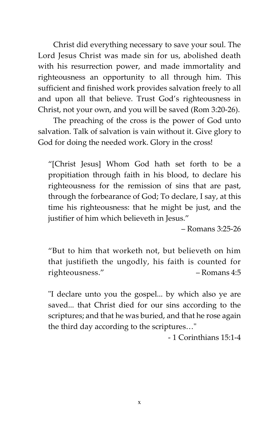Christ did everything necessary to save your soul. The Lord Jesus Christ was made sin for us, abolished death with his resurrection power, and made immortality and righteousness an opportunity to all through him. This sufficient and finished work provides salvation freely to all and upon all that believe. Trust God's righteousness in Christ, not your own, and you will be saved (Rom 3:20-26).

The preaching of the cross is the power of God unto salvation. Talk of salvation is vain without it. Give glory to God for doing the needed work. Glory in the cross!

"[Christ Jesus] Whom God hath set forth to be a propitiation through faith in his blood, to declare his righteousness for the remission of sins that are past, through the forbearance of God; To declare, I say, at this time his righteousness: that he might be just, and the justifier of him which believeth in Jesus."

 $–$  Romans  $3:25-26$ 

"But to him that worketh not, but believeth on him that justifieth the ungodly, his faith is counted for righteousness." – Romans 4:5

"I declare unto you the gospel... by which also ye are saved... that Christ died for our sins according to the scriptures; and that he was buried, and that he rose again the third day according to the scriptures…"

- 1 Corinthians 15:1-4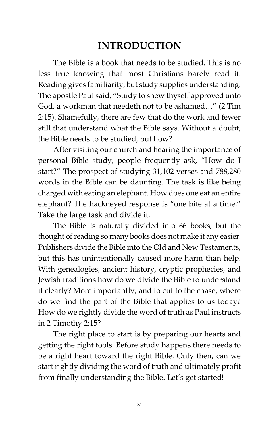### INTRODUCTION

<span id="page-8-0"></span>The Bible is a book that needs to be studied. This is no less true knowing that most Christians barely read it. Reading gives familiarity, but study supplies understanding. The apostle Paul said, "Study to shew thyself approved unto God, a workman that needeth not to be ashamed…" (2 Tim 2:15). Shamefully, there are few that do the work and fewer still that understand what the Bible says. Without a doubt, the Bible needs to be studied, but how?

After visiting our church and hearing the importance of personal Bible study, people frequently ask, "How do I start?" The prospect of studying 31,102 verses and 788,280 words in the Bible can be daunting. The task is like being charged with eating an elephant. How does one eat an entire elephant? The hackneyed response is "one bite at a time." Take the large task and divide it.

The Bible is naturally divided into 66 books, but the thought of reading so many books does not make it any easier. Publishers divide the Bible into the Old and New Testaments, but this has unintentionally caused more harm than help. With genealogies, ancient history, cryptic prophecies, and Jewish traditions how do we divide the Bible to understand it clearly? More importantly, and to cut to the chase, where do we find the part of the Bible that applies to us today? How do we rightly divide the word of truth as Paul instructs in 2 Timothy 2:15?

The right place to start is by preparing our hearts and getting the right tools. Before study happens there needs to be a right heart toward the right Bible. Only then, can we start rightly dividing the word of truth and ultimately profit from finally understanding the Bible. Let's get started!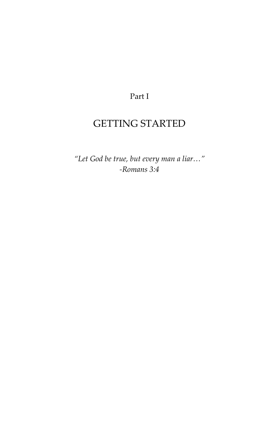#### Part I

### <span id="page-9-0"></span>GETTING STARTED

"Let God be true, but every man a liar…" -Romans 3:4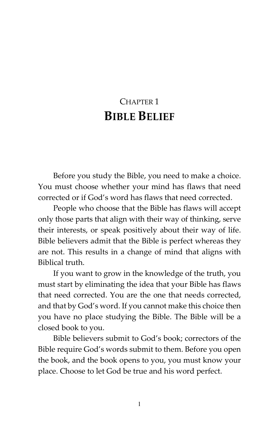# <span id="page-10-0"></span>CHAPTER 1 BIBLE BELIEF

Before you study the Bible, you need to make a choice. You must choose whether your mind has flaws that need corrected or if God's word has flaws that need corrected.

People who choose that the Bible has flaws will accept only those parts that align with their way of thinking, serve their interests, or speak positively about their way of life. Bible believers admit that the Bible is perfect whereas they are not. This results in a change of mind that aligns with Biblical truth.

If you want to grow in the knowledge of the truth, you must start by eliminating the idea that your Bible has flaws that need corrected. You are the one that needs corrected, and that by God's word. If you cannot make this choice then you have no place studying the Bible. The Bible will be a closed book to you.

Bible believers submit to God's book; correctors of the Bible require God's words submit to them. Before you open the book, and the book opens to you, you must know your place. Choose to let God be true and his word perfect.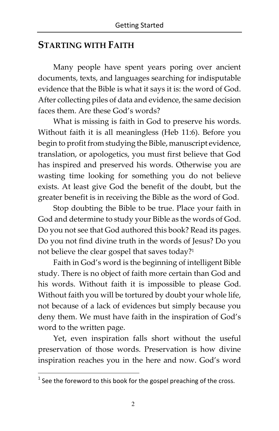#### STARTING WITH FAITH

Many people have spent years poring over ancient documents, texts, and languages searching for indisputable evidence that the Bible is what it says it is: the word of God. After collecting piles of data and evidence, the same decision faces them. Are these God's words?

What is missing is faith in God to preserve his words. Without faith it is all meaningless (Heb 11:6). Before you begin to profit from studying the Bible, manuscript evidence, translation, or apologetics, you must first believe that God has inspired and preserved his words. Otherwise you are wasting time looking for something you do not believe exists. At least give God the benefit of the doubt, but the greater benefit is in receiving the Bible as the word of God.

Stop doubting the Bible to be true. Place your faith in God and determine to study your Bible as the words of God. Do you not see that God authored this book? Read its pages. Do you not find divine truth in the words of Jesus? Do you not believe the clear gospel that saves today?<sup>1</sup>

Faith in God's word is the beginning of intelligent Bible study. There is no object of faith more certain than God and his words. Without faith it is impossible to please God. Without faith you will be tortured by doubt your whole life, not because of a lack of evidences but simply because you deny them. We must have faith in the inspiration of God's word to the written page.

Yet, even inspiration falls short without the useful preservation of those words. Preservation is how divine inspiration reaches you in the here and now. God's word

**The sum of the set of the set of the set of the cross.**<br>I [See the foreword to this book f](#page-6-0)or the gospel preaching of the cross.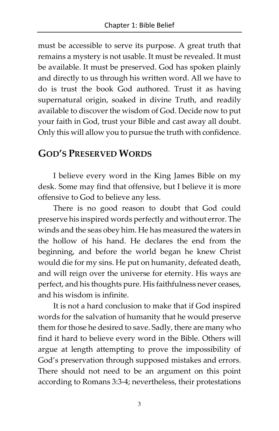must be accessible to serve its purpose. A great truth that remains a mystery is not usable. It must be revealed. It must be available. It must be preserved. God has spoken plainly and directly to us through his written word. All we have to do is trust the book God authored. Trust it as having supernatural origin, soaked in divine Truth, and readily available to discover the wisdom of God. Decide now to put your faith in God, trust your Bible and cast away all doubt. Only this will allow you to pursue the truth with confidence.

#### GOD'S PRESERVED WORDS

I believe every word in the King James Bible on my desk. Some may find that offensive, but I believe it is more offensive to God to believe any less.

There is no good reason to doubt that God could preserve his inspired words perfectly and without error. The winds and the seas obey him. He has measured the waters in the hollow of his hand. He declares the end from the beginning, and before the world began he knew Christ would die for my sins. He put on humanity, defeated death, and will reign over the universe for eternity. His ways are perfect, and his thoughts pure. His faithfulness never ceases, and his wisdom is infinite.

It is not a hard conclusion to make that if God inspired words for the salvation of humanity that he would preserve them for those he desired to save. Sadly, there are many who find it hard to believe every word in the Bible. Others will argue at length attempting to prove the impossibility of God's preservation through supposed mistakes and errors. There should not need to be an argument on this point according to Romans 3:3-4; nevertheless, their protestations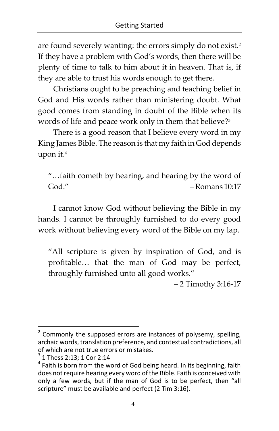are found severely wanting: the errors simply do not exist. $^2$ If they have a problem with God's words, then there will be plenty of time to talk to him about it in heaven. That is, if they are able to trust his words enough to get there.

Christians ought to be preaching and teaching belief in God and His words rather than ministering doubt. What good comes from standing in doubt of the Bible when its words of life and peace work only in them that believe?<sup>3</sup>

There is a good reason that I believe every word in my King James Bible. The reason is that my faith in God depends upon it.<sup>4</sup>

"…faith cometh by hearing, and hearing by the word of God." – Romans 10:17

I cannot know God without believing the Bible in my hands. I cannot be throughly furnished to do every good work without believing every word of the Bible on my lap.

"All scripture is given by inspiration of God, and is profitable… that the man of God may be perfect, throughly furnished unto all good works."

– 2 Timothy 3:16-17

<sup>-</sup> $2$  Commonly the supposed errors are instances of polysemy, spelling, archaic words, translation preference, and contextual contradictions, all of which are not true errors or mistakes.

 $3$  1 Thess 2:13; 1 Cor 2:14

<sup>&</sup>lt;sup>4</sup> Faith is born from the word of God being heard. In its beginning, faith does not require hearing every word of the Bible. Faith is conceived with only a few words, but if the man of God is to be perfect, then "all scripture" must be available and perfect (2 Tim 3:16).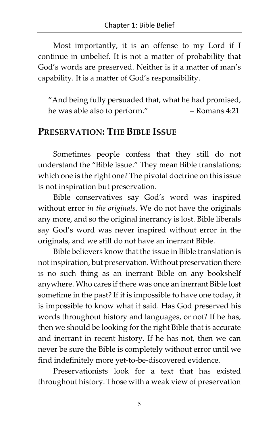Most importantly, it is an offense to my Lord if I continue in unbelief. It is not a matter of probability that God's words are preserved. Neither is it a matter of man's capability. It is a matter of God's responsibility.

"And being fully persuaded that, what he had promised, he was able also to perform." – Romans 4:21

#### PRESERVATION: THE BIBLE ISSUE

Sometimes people confess that they still do not understand the "Bible issue." They mean Bible translations; which one is the right one? The pivotal doctrine on this issue is not inspiration but preservation.

Bible conservatives say God's word was inspired without error in the originals. We do not have the originals any more, and so the original inerrancy is lost. Bible liberals say God's word was never inspired without error in the originals, and we still do not have an inerrant Bible.

Bible believers know that the issue in Bible translation is not inspiration, but preservation. Without preservation there is no such thing as an inerrant Bible on any bookshelf anywhere. Who cares if there was once an inerrant Bible lost sometime in the past? If it is impossible to have one today, it is impossible to know what it said. Has God preserved his words throughout history and languages, or not? If he has, then we should be looking for the right Bible that is accurate and inerrant in recent history. If he has not, then we can never be sure the Bible is completely without error until we find indefinitely more yet-to-be-discovered evidence.

Preservationists look for a text that has existed throughout history. Those with a weak view of preservation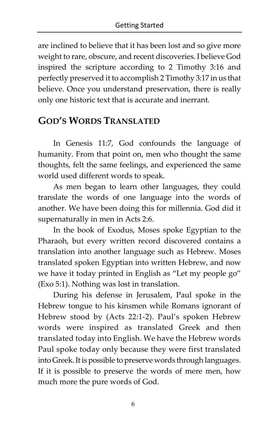are inclined to believe that it has been lost and so give more weight to rare, obscure, and recent discoveries. I believe God inspired the scripture according to 2 Timothy 3:16 and perfectly preserved it to accomplish 2 Timothy 3:17 in us that believe. Once you understand preservation, there is really only one historic text that is accurate and inerrant.

#### GOD'S WORDS TRANSLATED

In Genesis 11:7, God confounds the language of humanity. From that point on, men who thought the same thoughts, felt the same feelings, and experienced the same world used different words to speak.

As men began to learn other languages, they could translate the words of one language into the words of another. We have been doing this for millennia. God did it supernaturally in men in Acts 2:6.

In the book of Exodus, Moses spoke Egyptian to the Pharaoh, but every written record discovered contains a translation into another language such as Hebrew. Moses translated spoken Egyptian into written Hebrew, and now we have it today printed in English as "Let my people go" (Exo 5:1). Nothing was lost in translation.

During his defense in Jerusalem, Paul spoke in the Hebrew tongue to his kinsmen while Romans ignorant of Hebrew stood by (Acts 22:1-2). Paul's spoken Hebrew words were inspired as translated Greek and then translated today into English. We have the Hebrew words Paul spoke today only because they were first translated into Greek. It is possible to preserve words through languages. If it is possible to preserve the words of mere men, how much more the pure words of God.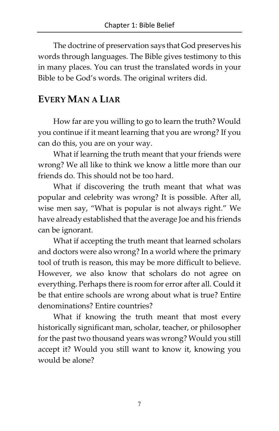The doctrine of preservation says that God preserves his words through languages. The Bible gives testimony to this in many places. You can trust the translated words in your Bible to be God's words. The original writers did.

#### EVERY MAN A LIAR

How far are you willing to go to learn the truth? Would you continue if it meant learning that you are wrong? If you can do this, you are on your way.

What if learning the truth meant that your friends were wrong? We all like to think we know a little more than our friends do. This should not be too hard.

What if discovering the truth meant that what was popular and celebrity was wrong? It is possible. After all, wise men say, "What is popular is not always right." We have already established that the average Joe and his friends can be ignorant.

What if accepting the truth meant that learned scholars and doctors were also wrong? In a world where the primary tool of truth is reason, this may be more difficult to believe. However, we also know that scholars do not agree on everything. Perhaps there is room for error after all. Could it be that entire schools are wrong about what is true? Entire denominations? Entire countries?

What if knowing the truth meant that most every historically significant man, scholar, teacher, or philosopher for the past two thousand years was wrong? Would you still accept it? Would you still want to know it, knowing you would be alone?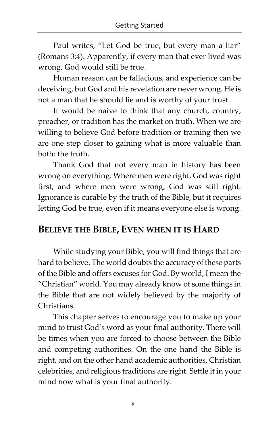Paul writes, "Let God be true, but every man a liar" (Romans 3:4). Apparently, if every man that ever lived was wrong, God would still be true.

Human reason can be fallacious, and experience can be deceiving, but God and his revelation are never wrong. He is not a man that he should lie and is worthy of your trust.

It would be naive to think that any church, country, preacher, or tradition has the market on truth. When we are willing to believe God before tradition or training then we are one step closer to gaining what is more valuable than both: the truth.

Thank God that not every man in history has been wrong on everything. Where men were right, God was right first, and where men were wrong, God was still right. Ignorance is curable by the truth of the Bible, but it requires letting God be true, even if it means everyone else is wrong.

#### BELIEVE THE BIBLE, EVEN WHEN IT IS HARD

While studying your Bible, you will find things that are hard to believe. The world doubts the accuracy of these parts of the Bible and offers excuses for God. By world, I mean the "Christian" world. You may already know of some things in the Bible that are not widely believed by the majority of Christians.

This chapter serves to encourage you to make up your mind to trust God's word as your final authority. There will be times when you are forced to choose between the Bible and competing authorities. On the one hand the Bible is right, and on the other hand academic authorities, Christian celebrities, and religious traditions are right. Settle it in your mind now what is your final authority.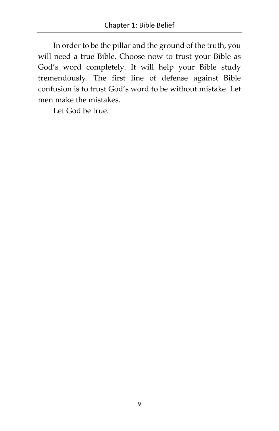In order to be the pillar and the ground of the truth, you will need a true Bible. Choose now to trust your Bible as God's word completely. It will help your Bible study tremendously. The first line of defense against Bible confusion is to trust God's word to be without mistake. Let men make the mistakes.

Let God be true.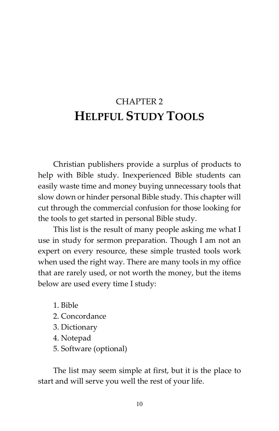# <span id="page-19-0"></span>CHAPTER 2 HELPFUL STUDY TOOLS

Christian publishers provide a surplus of products to help with Bible study. Inexperienced Bible students can easily waste time and money buying unnecessary tools that slow down or hinder personal Bible study. This chapter will cut through the commercial confusion for those looking for the tools to get started in personal Bible study.

This list is the result of many people asking me what I use in study for sermon preparation. Though I am not an expert on every resource, these simple trusted tools work when used the right way. There are many tools in my office that are rarely used, or not worth the money, but the items below are used every time I study:

- 1. Bible 2. Concordance 3. Dictionary 4. Notepad
- 5. Software (optional)

The list may seem simple at first, but it is the place to start and will serve you well the rest of your life.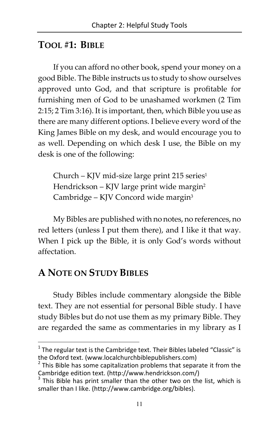#### TOOL #1: BIBLE

If you can afford no other book, spend your money on a good Bible. The Bible instructs us to study to show ourselves approved unto God, and that scripture is profitable for furnishing men of God to be unashamed workmen (2 Tim 2:15; 2 Tim 3:16). It is important, then, which Bible you use as there are many different options. I believe every word of the King James Bible on my desk, and would encourage you to as well. Depending on which desk I use, the Bible on my desk is one of the following:

Church – KJV mid-size large print 215 series $1$ Hendrickson – KJV large print wide margin<sup>2</sup> Cambridge – KJV Concord wide margin<sup>3</sup>

My Bibles are published with no notes, no references, no red letters (unless I put them there), and I like it that way. When I pick up the Bible, it is only God's words without affectation.

#### A NOTE ON STUDY BIBLES

<u>.</u>

Study Bibles include commentary alongside the Bible text. They are not essential for personal Bible study. I have study Bibles but do not use them as my primary Bible. They are regarded the same as commentaries in my library as I

 $1$  The regular text is the Cambridge text. Their Bibles labeled "Classic" is the Oxford text. ([www.localchurchbiblepublishers.com](http://www.localchurchbiblepublishers.com))

 $2$  This Bible has some capitalization problems that separate it from the Cambridge edition text. [\(http://www.hendrickson.com/](http://www.hendrickson.com/))

<sup>&</sup>lt;sup>3</sup> This Bible has print smaller than the other two on the list, which is smaller than I like. ([http://www.cambridge.org/bibles\)](http://www.cambridge.org/bibles).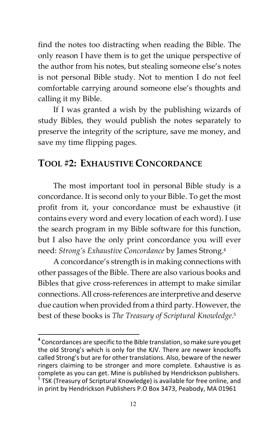find the notes too distracting when reading the Bible. The only reason I have them is to get the unique perspective of the author from his notes, but stealing someone else's notes is not personal Bible study. Not to mention I do not feel comfortable carrying around someone else's thoughts and calling it my Bible.

If I was granted a wish by the publishing wizards of study Bibles, they would publish the notes separately to preserve the integrity of the scripture, save me money, and save my time flipping pages.

#### TOOL #2: EXHAUSTIVE CONCORDANCE

The most important tool in personal Bible study is a concordance. It is second only to your Bible. To get the most profit from it, your concordance must be exhaustive (it contains every word and every location of each word). I use the search program in my Bible software for this function, but I also have the only print concordance you will ever need: Strong's Exhaustive Concordance by James Strong.<sup>4</sup>

A concordance's strength is in making connections with other passages of the Bible. There are also various books and Bibles that give cross-references in attempt to make similar connections. All cross-references are interpretive and deserve due caution when provided from a third party. However, the best of these books is The Treasury of Scriptural Knowledge. 5

 $\overline{a}$ <sup>4</sup> Concordances are specific to the Bible translation, so make sure you get the old Strong's which is only for the KJV. There are newer knockoffs called Strong's but are for other translations. Also, beware of the newer ringers claiming to be stronger and more complete. Exhaustive is as complete as you can get. Mine is published by Hendrickson publishers.

<sup>&</sup>lt;sup>5</sup> TSK (Treasury of Scriptural Knowledge) is available for free online, and in print by Hendrickson Publishers P.O Box 3473, Peabody, MA 01961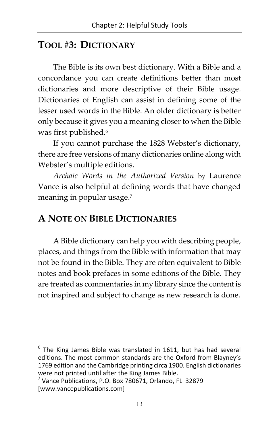#### TOOL #3: DICTIONARY

The Bible is its own best dictionary. With a Bible and a concordance you can create definitions better than most dictionaries and more descriptive of their Bible usage. Dictionaries of English can assist in defining some of the lesser used words in the Bible. An older dictionary is better only because it gives you a meaning closer to when the Bible was first published.<sup>6</sup>

If you cannot purchase the 1828 Webster's dictionary, there are free versions of many dictionaries online along with Webster's multiple editions.

Archaic Words in the Authorized Version by Laurence Vance is also helpful at defining words that have changed meaning in popular usage.<sup>7</sup>

#### A NOTE ON BIBLE DICTIONARIES

A Bible dictionary can help you with describing people, places, and things from the Bible with information that may not be found in the Bible. They are often equivalent to Bible notes and book prefaces in some editions of the Bible. They are treated as commentaries in my library since the content is not inspired and subject to change as new research is done.

<u>.</u>

<sup>6</sup> The King James Bible was translated in 1611, but has had several editions. The most common standards are the Oxford from Blayney's 1769 edition and the Cambridge printing circa 1900. English dictionaries were not printed until after the King James Bible.

<sup>7</sup> Vance Publications, P.O. Box 780671, Orlando, FL 32879 [\[www.vancepublications.com\]](http://www.vancepublications.com])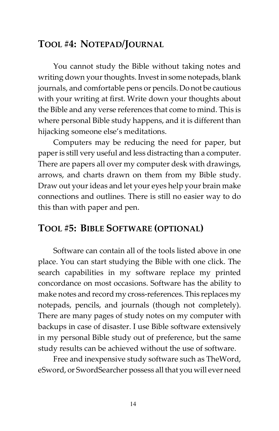#### TOOL #4: NOTEPAD/JOURNAL

You cannot study the Bible without taking notes and writing down your thoughts. Invest in some notepads, blank journals, and comfortable pens or pencils. Do not be cautious with your writing at first. Write down your thoughts about the Bible and any verse references that come to mind. This is where personal Bible study happens, and it is different than hijacking someone else's meditations.

Computers may be reducing the need for paper, but paper is still very useful and less distracting than a computer. There are papers all over my computer desk with drawings, arrows, and charts drawn on them from my Bible study. Draw out your ideas and let your eyes help your brain make connections and outlines. There is still no easier way to do this than with paper and pen.

#### TOOL #5: BIBLE SOFTWARE (OPTIONAL)

Software can contain all of the tools listed above in one place. You can start studying the Bible with one click. The search capabilities in my software replace my printed concordance on most occasions. Software has the ability to make notes and record my cross-references. This replaces my notepads, pencils, and journals (though not completely). There are many pages of study notes on my computer with backups in case of disaster. I use Bible software extensively in my personal Bible study out of preference, but the same study results can be achieved without the use of software.

Free and inexpensive study software such as TheWord, eSword, or SwordSearcher possess all that you will ever need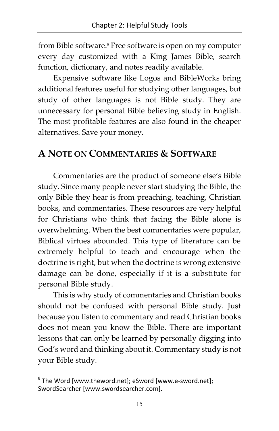from Bible software.<sup>8</sup> Free software is open on my computer every day customized with a King James Bible, search function, dictionary, and notes readily available.

Expensive software like Logos and BibleWorks bring additional features useful for studying other languages, but study of other languages is not Bible study. They are unnecessary for personal Bible believing study in English. The most profitable features are also found in the cheaper alternatives. Save your money.

#### A NOTE ON COMMENTARIES & SOFTWARE

Commentaries are the product of someone else's Bible study. Since many people never start studying the Bible, the only Bible they hear is from preaching, teaching, Christian books, and commentaries. These resources are very helpful for Christians who think that facing the Bible alone is overwhelming. When the best commentaries were popular, Biblical virtues abounded. This type of literature can be extremely helpful to teach and encourage when the doctrine is right, but when the doctrine is wrong extensive damage can be done, especially if it is a substitute for personal Bible study.

This is why study of commentaries and Christian books should not be confused with personal Bible study. Just because you listen to commentary and read Christian books does not mean you know the Bible. There are important lessons that can only be learned by personally digging into God's word and thinking about it. Commentary study is not your Bible study.

-

 $^8$  The Word [\[www.theword.net\];](http://www.theword.net];) eSword [www.e-sword.net]; SwordSearcher [[www.swordsearcher.com\]](http://www.swordsearcher.com]).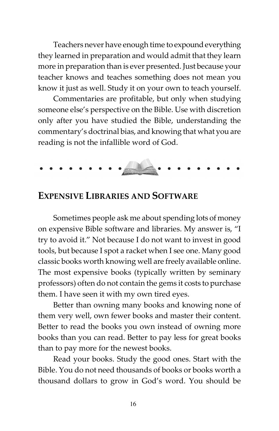Teachers never have enough time to expound everything they learned in preparation and would admit that they learn more in preparation than is ever presented. Just because your teacher knows and teaches something does not mean you know it just as well. Study it on your own to teach yourself.

Commentaries are profitable, but only when studying someone else's perspective on the Bible. Use with discretion only after you have studied the Bible, understanding the commentary's doctrinal bias, and knowing that what you are reading is not the infallible word of God.

#### EXPENSIVE LIBRARIES AND SOFTWARE

Sometimes people ask me about spending lots of money on expensive Bible software and libraries. My answer is, "I try to avoid it." Not because I do not want to invest in good tools, but because I spot a racket when I see one. Many good classic books worth knowing well are freely available online. The most expensive books (typically written by seminary professors) often do not contain the gems it costs to purchase them. I have seen it with my own tired eyes.

Better than owning many books and knowing none of them very well, own fewer books and master their content. Better to read the books you own instead of owning more books than you can read. Better to pay less for great books than to pay more for the newest books.

Read your books. Study the good ones. Start with the Bible. You do not need thousands of books or books worth a thousand dollars to grow in God's word. You should be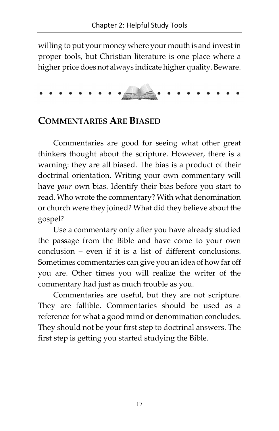willing to put your money where your mouth is and invest in proper tools, but Christian literature is one place where a higher price does not always indicate higher quality. Beware.

#### COMMENTARIES ARE BIASED

Commentaries are good for seeing what other great thinkers thought about the scripture. However, there is a warning: they are all biased. The bias is a product of their doctrinal orientation. Writing your own commentary will have your own bias. Identify their bias before you start to read. Who wrote the commentary? With what denomination or church were they joined? What did they believe about the gospel?

Use a commentary only after you have already studied the passage from the Bible and have come to your own conclusion – even if it is a list of different conclusions. Sometimes commentaries can give you an idea of how far off you are. Other times you will realize the writer of the commentary had just as much trouble as you.

Commentaries are useful, but they are not scripture. They are fallible. Commentaries should be used as a reference for what a good mind or denomination concludes. They should not be your first step to doctrinal answers. The first step is getting you started studying the Bible.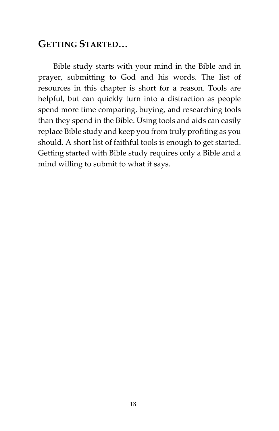#### GETTING STARTED…

Bible study starts with your mind in the Bible and in prayer, submitting to God and his words. The list of resources in this chapter is short for a reason. Tools are helpful, but can quickly turn into a distraction as people spend more time comparing, buying, and researching tools than they spend in the Bible. Using tools and aids can easily replace Bible study and keep you from truly profiting as you should. A short list of faithful tools is enough to get started. Getting started with Bible study requires only a Bible and a mind willing to submit to what it says.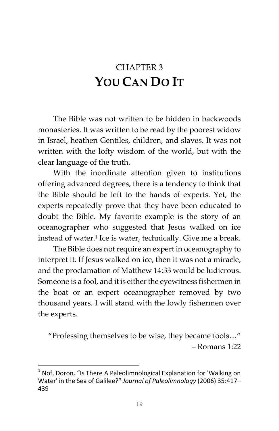# <span id="page-28-0"></span>CHAPTER 3 YOU CAN DO IT

The Bible was not written to be hidden in backwoods monasteries. It was written to be read by the poorest widow in Israel, heathen Gentiles, children, and slaves. It was not written with the lofty wisdom of the world, but with the clear language of the truth.

With the inordinate attention given to institutions offering advanced degrees, there is a tendency to think that the Bible should be left to the hands of experts. Yet, the experts repeatedly prove that they have been educated to doubt the Bible. My favorite example is the story of an oceanographer who suggested that Jesus walked on ice instead of water.<sup>1</sup> Ice is water, technically. Give me a break.

The Bible does not require an expert in oceanography to interpret it. If Jesus walked on ice, then it was not a miracle, and the proclamation of Matthew 14:33 would be ludicrous. Someone is a fool, and it is either the eyewitness fishermen in the boat or an expert oceanographer removed by two thousand years. I will stand with the lowly fishermen over the experts.

"Professing themselves to be wise, they became fools…" – Romans 1:22

<u>.</u>

 $1$  Nof, Doron. "Is There A Paleolimnological Explanation for 'Walking on Water' in the Sea of Galilee?" Journal of Paleolimnology (2006) 35:417-439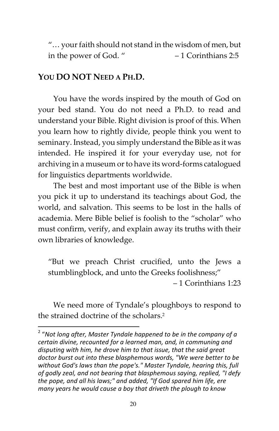"… your faith should not stand in the wisdom of men, but in the power of God. " – 1 Corinthians 2:5

#### YOU DO NOT NEED A PH.D.

l

You have the words inspired by the mouth of God on your bed stand. You do not need a Ph.D. to read and understand your Bible. Right division is proof of this. When you learn how to rightly divide, people think you went to seminary. Instead, you simply understand the Bible as it was intended. He inspired it for your everyday use, not for archiving in a museum or to have its word-forms catalogued for linguistics departments worldwide.

The best and most important use of the Bible is when you pick it up to understand its teachings about God, the world, and salvation. This seems to be lost in the halls of academia. Mere Bible belief is foolish to the "scholar" who must confirm, verify, and explain away its truths with their own libraries of knowledge.

"But we preach Christ crucified, unto the Jews a stumblingblock, and unto the Greeks foolishness;"

– 1 Corinthians 1:23

We need more of Tyndale's ploughboys to respond to the strained doctrine of the scholars.<sup>2</sup>

 $2\ ^2$  "Not long after, Master Tyndale happened to be in the company of a certain divine, recounted for a learned man, and, in communing and disputing with him, he drove him to that issue, that the said great doctor burst out into these blasphemous words, "We were better to be without God's laws than the pope's." Master Tyndale, hearing this, full of godly zeal, and not bearing that blasphemous saying, replied, "I defy the pope, and all his laws;" and added, "If God spared him life, ere many years he would cause a boy that driveth the plough to know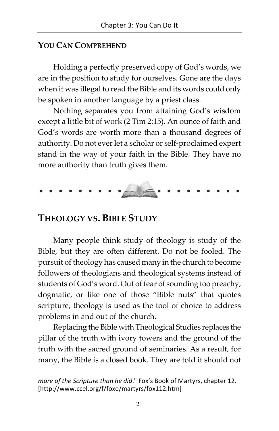#### YOU CAN COMPREHEND

Holding a perfectly preserved copy of God's words, we are in the position to study for ourselves. Gone are the days when it was illegal to read the Bible and its words could only be spoken in another language by a priest class.

Nothing separates you from attaining God's wisdom except a little bit of work (2 Tim 2:15). An ounce of faith and God's words are worth more than a thousand degrees of authority. Do not ever let a scholar or self-proclaimed expert stand in the way of your faith in the Bible. They have no more authority than truth gives them.



#### THEOLOGY VS. BIBLE STUDY

 $\overline{\phantom{a}}$ 

Many people think study of theology is study of the Bible, but they are often different. Do not be fooled. The pursuit of theology has caused many in the church to become followers of theologians and theological systems instead of students of God's word. Out of fear of sounding too preachy, dogmatic, or like one of those "Bible nuts" that quotes scripture, theology is used as the tool of choice to address problems in and out of the church.

Replacing the Bible with Theological Studies replaces the pillar of the truth with ivory towers and the ground of the truth with the sacred ground of seminaries. As a result, for many, the Bible is a closed book. They are told it should not

more of the Scripture than he did." Fox's Book of Martyrs, chapter 12. [\[http://www.ccel.org/f/foxe/martyrs/fox112.htm\]](http://www.ccel.org/f/foxe/martyrs/fox112.htm])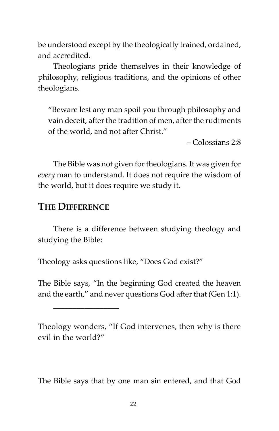be understood except by the theologically trained, ordained, and accredited.

Theologians pride themselves in their knowledge of philosophy, religious traditions, and the opinions of other theologians.

"Beware lest any man spoil you through philosophy and vain deceit, after the tradition of men, after the rudiments of the world, and not after Christ."

– Colossians 2:8

The Bible was not given for theologians. It was given for every man to understand. It does not require the wisdom of the world, but it does require we study it.

#### THE DIFFERENCE

\_\_\_\_\_\_\_\_\_\_\_\_\_\_\_\_\_

There is a difference between studying theology and studying the Bible:

Theology asks questions like, "Does God exist?"

The Bible says, "In the beginning God created the heaven and the earth," and never questions God after that (Gen 1:1).

Theology wonders, "If God intervenes, then why is there evil in the world?"

The Bible says that by one man sin entered, and that God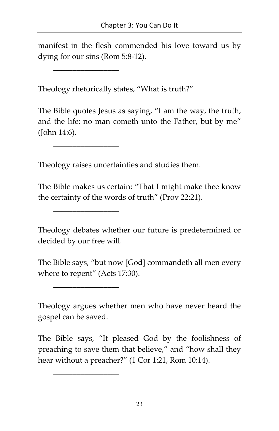manifest in the flesh commended his love toward us by dying for our sins (Rom 5:8-12).

Theology rhetorically states, "What is truth?"

The Bible quotes Jesus as saying, "I am the way, the truth, and the life: no man cometh unto the Father, but by me" (John 14:6).

\_\_\_\_\_\_\_\_\_\_\_\_\_\_\_\_\_

\_\_\_\_\_\_\_\_\_\_\_\_\_\_\_\_\_

\_\_\_\_\_\_\_\_\_\_\_\_\_\_\_\_\_

\_\_\_\_\_\_\_\_\_\_\_\_\_\_\_\_\_

\_\_\_\_\_\_\_\_\_\_\_\_\_\_\_\_\_

Theology raises uncertainties and studies them.

The Bible makes us certain: "That I might make thee know the certainty of the words of truth" (Prov 22:21).

Theology debates whether our future is predetermined or decided by our free will.

The Bible says, "but now [God] commandeth all men every where to repent" (Acts 17:30).

Theology argues whether men who have never heard the gospel can be saved.

The Bible says, "It pleased God by the foolishness of preaching to save them that believe," and "how shall they hear without a preacher?" (1 Cor 1:21, Rom 10:14).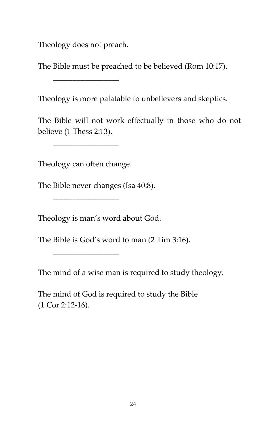Theology does not preach.

\_\_\_\_\_\_\_\_\_\_\_\_\_\_\_\_\_

The Bible must be preached to be believed (Rom 10:17).

Theology is more palatable to unbelievers and skeptics.

The Bible will not work effectually in those who do not believe (1 Thess 2:13).

Theology can often change.

\_\_\_\_\_\_\_\_\_\_\_\_\_\_\_\_\_

\_\_\_\_\_\_\_\_\_\_\_\_\_\_\_\_\_

\_\_\_\_\_\_\_\_\_\_\_\_\_\_\_\_\_

The Bible never changes (Isa 40:8).

Theology is man's word about God.

The Bible is God's word to man (2 Tim 3:16).

The mind of a wise man is required to study theology.

The mind of God is required to study the Bible (1 Cor 2:12-16).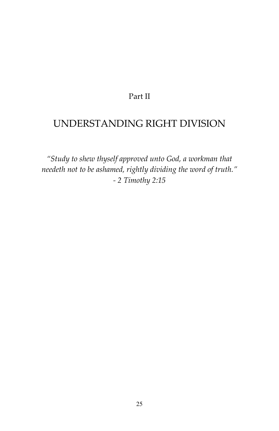#### Part II

#### <span id="page-34-0"></span>UNDERSTANDING RIGHT DIVISION

"Study to shew thyself approved unto God, a workman that needeth not to be ashamed, rightly dividing the word of truth." - 2 Timothy 2:15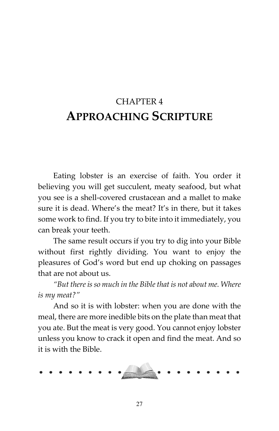# <span id="page-35-0"></span>CHAPTER 4 APPROACHING SCRIPTURE

Eating lobster is an exercise of faith. You order it believing you will get succulent, meaty seafood, but what you see is a shell-covered crustacean and a mallet to make sure it is dead. Where's the meat? It's in there, but it takes some work to find. If you try to bite into it immediately, you can break your teeth.

The same result occurs if you try to dig into your Bible without first rightly dividing. You want to enjoy the pleasures of God's word but end up choking on passages that are not about us.

"But there is so much in the Bible that is not about me. Where is my meat?"

And so it is with lobster: when you are done with the meal, there are more inedible bits on the plate than meat that you ate. But the meat is very good. You cannot enjoy lobster unless you know to crack it open and find the meat. And so it is with the Bible.

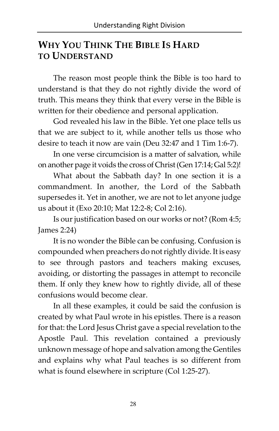# WHY YOU THINK THE BIBLE IS HARD TO UNDERSTAND

The reason most people think the Bible is too hard to understand is that they do not rightly divide the word of truth. This means they think that every verse in the Bible is written for their obedience and personal application.

God revealed his law in the Bible. Yet one place tells us that we are subject to it, while another tells us those who desire to teach it now are vain (Deu 32:47 and 1 Tim 1:6-7).

In one verse circumcision is a matter of salvation, while on another page it voids the cross of Christ (Gen 17:14; Gal 5:2)!

What about the Sabbath day? In one section it is a commandment. In another, the Lord of the Sabbath supersedes it. Yet in another, we are not to let anyone judge us about it (Exo 20:10; Mat 12:2-8; Col 2:16).

Is our justification based on our works or not? (Rom 4:5; James 2:24)

It is no wonder the Bible can be confusing. Confusion is compounded when preachers do not rightly divide. It is easy to see through pastors and teachers making excuses, avoiding, or distorting the passages in attempt to reconcile them. If only they knew how to rightly divide, all of these confusions would become clear.

In all these examples, it could be said the confusion is created by what Paul wrote in his epistles. There is a reason for that: the Lord Jesus Christ gave a special revelation to the Apostle Paul. This revelation contained a previously unknown message of hope and salvation among the Gentiles and explains why what Paul teaches is so different from what is found elsewhere in scripture (Col 1:25-27).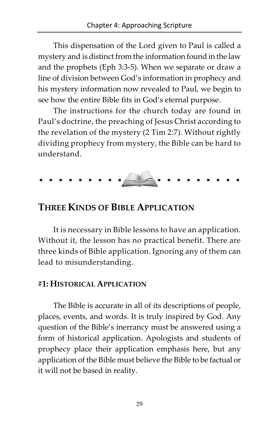This dispensation of the Lord given to Paul is called a mystery and is distinct from the information found in the law and the prophets (Eph 3:3-5). When we separate or draw a line of division between God's information in prophecy and his mystery information now revealed to Paul, we begin to see how the entire Bible fits in God's eternal purpose.

The instructions for the church today are found in Paul's doctrine, the preaching of Jesus Christ according to the revelation of the mystery (2 Tim 2:7). Without rightly dividing prophecy from mystery, the Bible can be hard to understand.

### THREE KINDS OF BIBLE APPLICATION

It is necessary in Bible lessons to have an application. Without it, the lesson has no practical benefit. There are three kinds of Bible application. Ignoring any of them can lead to misunderstanding.

#### #1: HISTORICAL APPLICATION

The Bible is accurate in all of its descriptions of people, places, events, and words. It is truly inspired by God. Any question of the Bible's inerrancy must be answered using a form of historical application. Apologists and students of prophecy place their application emphasis here, but any application of the Bible must believe the Bible to be factual or it will not be based in reality.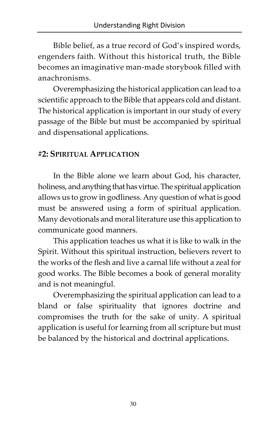Bible belief, as a true record of God's inspired words, engenders faith. Without this historical truth, the Bible becomes an imaginative man-made storybook filled with anachronisms.

Overemphasizing the historical application can lead to a scientific approach to the Bible that appears cold and distant. The historical application is important in our study of every passage of the Bible but must be accompanied by spiritual and dispensational applications.

#### #2: SPIRITUAL APPLICATION

In the Bible alone we learn about God, his character, holiness, and anything that has virtue. The spiritual application allows us to grow in godliness. Any question of what is good must be answered using a form of spiritual application. Many devotionals and moral literature use this application to communicate good manners.

This application teaches us what it is like to walk in the Spirit. Without this spiritual instruction, believers revert to the works of the flesh and live a carnal life without a zeal for good works. The Bible becomes a book of general morality and is not meaningful.

Overemphasizing the spiritual application can lead to a bland or false spirituality that ignores doctrine and compromises the truth for the sake of unity. A spiritual application is useful for learning from all scripture but must be balanced by the historical and doctrinal applications.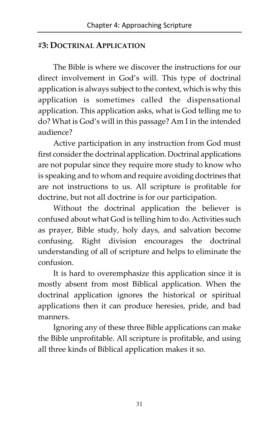#### #3: DOCTRINAL APPLICATION

The Bible is where we discover the instructions for our direct involvement in God's will. This type of doctrinal application is always subject to the context, which is why this application is sometimes called the dispensational application. This application asks, what is God telling me to do? What is God's will in this passage? Am I in the intended audience?

Active participation in any instruction from God must first consider the doctrinal application. Doctrinal applications are not popular since they require more study to know who is speaking and to whom and require avoiding doctrines that are not instructions to us. All scripture is profitable for doctrine, but not all doctrine is for our participation.

Without the doctrinal application the believer is confused about what God is telling him to do. Activities such as prayer, Bible study, holy days, and salvation become confusing. Right division encourages the doctrinal understanding of all of scripture and helps to eliminate the confusion.

It is hard to overemphasize this application since it is mostly absent from most Biblical application. When the doctrinal application ignores the historical or spiritual applications then it can produce heresies, pride, and bad manners.

Ignoring any of these three Bible applications can make the Bible unprofitable. All scripture is profitable, and using all three kinds of Biblical application makes it so.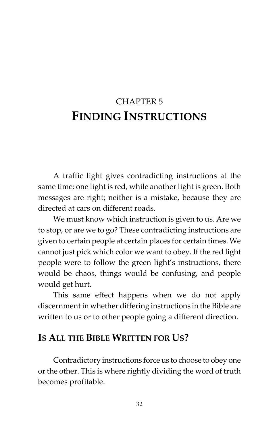# CHAPTER 5 FINDING INSTRUCTIONS

A traffic light gives contradicting instructions at the same time: one light is red, while another light is green. Both messages are right; neither is a mistake, because they are directed at cars on different roads.

We must know which instruction is given to us. Are we to stop, or are we to go? These contradicting instructions are given to certain people at certain places for certain times. We cannot just pick which color we want to obey. If the red light people were to follow the green light's instructions, there would be chaos, things would be confusing, and people would get hurt.

This same effect happens when we do not apply discernment in whether differing instructions in the Bible are written to us or to other people going a different direction.

# IS ALL THE BIBLE WRITTEN FOR US?

Contradictory instructions force us to choose to obey one or the other. This is where rightly dividing the word of truth becomes profitable.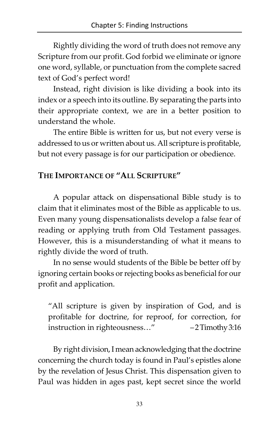Rightly dividing the word of truth does not remove any Scripture from our profit. God forbid we eliminate or ignore one word, syllable, or punctuation from the complete sacred text of God's perfect word!

Instead, right division is like dividing a book into its index or a speech into its outline. By separating the parts into their appropriate context, we are in a better position to understand the whole.

The entire Bible is written for us, but not every verse is addressed to us or written about us. All scripture is profitable, but not every passage is for our participation or obedience.

#### THE IMPORTANCE OF "ALL SCRIPTURE"

A popular attack on dispensational Bible study is to claim that it eliminates most of the Bible as applicable to us. Even many young dispensationalists develop a false fear of reading or applying truth from Old Testament passages. However, this is a misunderstanding of what it means to rightly divide the word of truth.

In no sense would students of the Bible be better off by ignoring certain books or rejecting books as beneficial for our profit and application.

"All scripture is given by inspiration of God, and is profitable for doctrine, for reproof, for correction, for instruction in righteousness…" – 2 Timothy 3:16

By right division, I mean acknowledging that the doctrine concerning the church today is found in Paul's epistles alone by the revelation of Jesus Christ. This dispensation given to Paul was hidden in ages past, kept secret since the world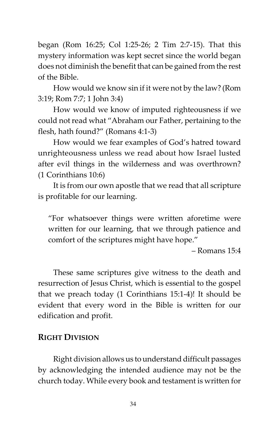began (Rom 16:25; Col 1:25-26; 2 Tim 2:7-15). That this mystery information was kept secret since the world began does not diminish the benefit that can be gained from the rest of the Bible.

How would we know sin if it were not by the law? (Rom 3:19; Rom 7:7; 1 John 3:4)

How would we know of imputed righteousness if we could not read what "Abraham our Father, pertaining to the flesh, hath found?" (Romans 4:1-3)

How would we fear examples of God's hatred toward unrighteousness unless we read about how Israel lusted after evil things in the wilderness and was overthrown? (1 Corinthians 10:6)

It is from our own apostle that we read that all scripture is profitable for our learning.

"For whatsoever things were written aforetime were written for our learning, that we through patience and comfort of the scriptures might have hope."

– Romans 15:4

These same scriptures give witness to the death and resurrection of Jesus Christ, which is essential to the gospel that we preach today (1 Corinthians 15:1-4)! It should be evident that every word in the Bible is written for our edification and profit.

#### RIGHT DIVISION

Right division allows us to understand difficult passages by acknowledging the intended audience may not be the church today. While every book and testament is written for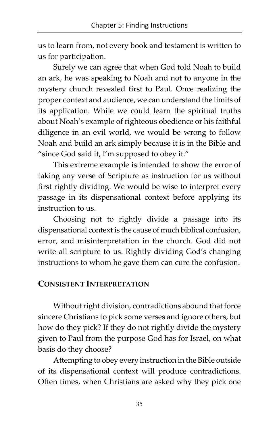us to learn from, not every book and testament is written to us for participation.

Surely we can agree that when God told Noah to build an ark, he was speaking to Noah and not to anyone in the mystery church revealed first to Paul. Once realizing the proper context and audience, we can understand the limits of its application. While we could learn the spiritual truths about Noah's example of righteous obedience or his faithful diligence in an evil world, we would be wrong to follow Noah and build an ark simply because it is in the Bible and "since God said it, I'm supposed to obey it."

This extreme example is intended to show the error of taking any verse of Scripture as instruction for us without first rightly dividing. We would be wise to interpret every passage in its dispensational context before applying its instruction to us.

Choosing not to rightly divide a passage into its dispensational context is the cause of much biblical confusion, error, and misinterpretation in the church. God did not write all scripture to us. Rightly dividing God's changing instructions to whom he gave them can cure the confusion.

#### CONSISTENT INTERPRETATION

Without right division, contradictions abound that force sincere Christians to pick some verses and ignore others, but how do they pick? If they do not rightly divide the mystery given to Paul from the purpose God has for Israel, on what basis do they choose?

Attempting to obey every instruction in the Bible outside of its dispensational context will produce contradictions. Often times, when Christians are asked why they pick one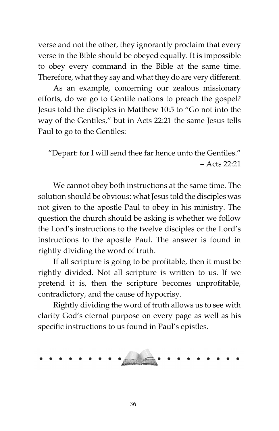verse and not the other, they ignorantly proclaim that every verse in the Bible should be obeyed equally. It is impossible to obey every command in the Bible at the same time. Therefore, what they say and what they do are very different.

As an example, concerning our zealous missionary efforts, do we go to Gentile nations to preach the gospel? Jesus told the disciples in Matthew 10:5 to "Go not into the way of the Gentiles," but in Acts 22:21 the same Jesus tells Paul to go to the Gentiles:

"Depart: for I will send thee far hence unto the Gentiles." – Acts 22:21

We cannot obey both instructions at the same time. The solution should be obvious: what Jesus told the disciples was not given to the apostle Paul to obey in his ministry. The question the church should be asking is whether we follow the Lord's instructions to the twelve disciples or the Lord's instructions to the apostle Paul. The answer is found in rightly dividing the word of truth.

If all scripture is going to be profitable, then it must be rightly divided. Not all scripture is written to us. If we pretend it is, then the scripture becomes unprofitable, contradictory, and the cause of hypocrisy.

Rightly dividing the word of truth allows us to see with clarity God's eternal purpose on every page as well as his specific instructions to us found in Paul's epistles.

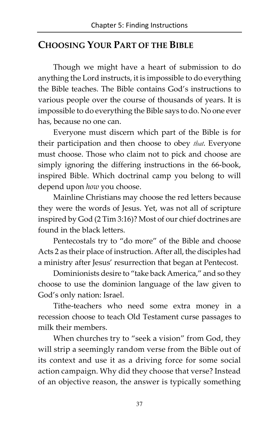# CHOOSING YOUR PART OF THE BIBLE

Though we might have a heart of submission to do anything the Lord instructs, it is impossible to do everything the Bible teaches. The Bible contains God's instructions to various people over the course of thousands of years. It is impossible to do everything the Bible says to do. No one ever has, because no one can.

Everyone must discern which part of the Bible is for their participation and then choose to obey *that*. Everyone must choose. Those who claim not to pick and choose are simply ignoring the differing instructions in the 66-book, inspired Bible. Which doctrinal camp you belong to will depend upon how you choose.

Mainline Christians may choose the red letters because they were the words of Jesus. Yet, was not all of scripture inspired by God (2 Tim 3:16)? Most of our chief doctrines are found in the black letters.

Pentecostals try to "do more" of the Bible and choose Acts 2 as their place of instruction. After all, the disciples had a ministry after Jesus' resurrection that began at Pentecost.

Dominionists desire to "take back America," and so they choose to use the dominion language of the law given to God's only nation: Israel.

Tithe-teachers who need some extra money in a recession choose to teach Old Testament curse passages to milk their members.

When churches try to "seek a vision" from God, they will strip a seemingly random verse from the Bible out of its context and use it as a driving force for some social action campaign. Why did they choose that verse? Instead of an objective reason, the answer is typically something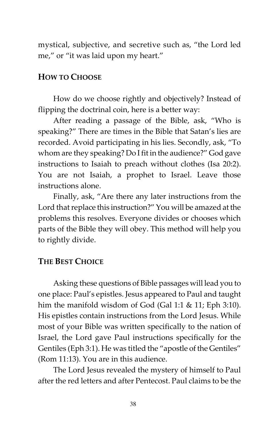mystical, subjective, and secretive such as, "the Lord led me," or "it was laid upon my heart."

#### HOW TO CHOOSE

How do we choose rightly and objectively? Instead of flipping the doctrinal coin, here is a better way:

After reading a passage of the Bible, ask, "Who is speaking?" There are times in the Bible that Satan's lies are recorded. Avoid participating in his lies. Secondly, ask, "To whom are they speaking? Do I fit in the audience?" God gave instructions to Isaiah to preach without clothes (Isa 20:2). You are not Isaiah, a prophet to Israel. Leave those instructions alone.

Finally, ask, "Are there any later instructions from the Lord that replace this instruction?" You will be amazed at the problems this resolves. Everyone divides or chooses which parts of the Bible they will obey. This method will help you to rightly divide.

#### THE BEST CHOICE

Asking these questions of Bible passages will lead you to one place: Paul's epistles. Jesus appeared to Paul and taught him the manifold wisdom of God (Gal 1:1 & 11; Eph 3:10). His epistles contain instructions from the Lord Jesus. While most of your Bible was written specifically to the nation of Israel, the Lord gave Paul instructions specifically for the Gentiles (Eph 3:1). He was titled the "apostle of the Gentiles" (Rom 11:13). You are in this audience.

The Lord Jesus revealed the mystery of himself to Paul after the red letters and after Pentecost. Paul claims to be the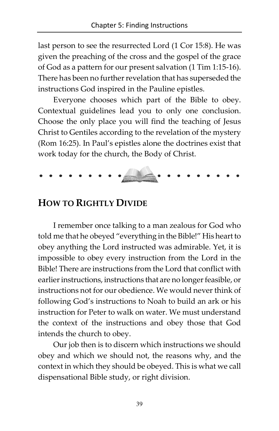last person to see the resurrected Lord (1 Cor 15:8). He was given the preaching of the cross and the gospel of the grace of God as a pattern for our present salvation (1 Tim 1:15-16). There has been no further revelation that has superseded the instructions God inspired in the Pauline epistles.

Everyone chooses which part of the Bible to obey. Contextual guidelines lead you to only one conclusion. Choose the only place you will find the teaching of Jesus Christ to Gentiles according to the revelation of the mystery (Rom 16:25). In Paul's epistles alone the doctrines exist that work today for the church, the Body of Christ.

#### HOW TO RIGHTLY DIVIDE

I remember once talking to a man zealous for God who told me that he obeyed "everything in the Bible!" His heart to obey anything the Lord instructed was admirable. Yet, it is impossible to obey every instruction from the Lord in the Bible! There are instructions from the Lord that conflict with earlier instructions, instructions that are no longer feasible, or instructions not for our obedience. We would never think of following God's instructions to Noah to build an ark or his instruction for Peter to walk on water. We must understand the context of the instructions and obey those that God intends the church to obey.

Our job then is to discern which instructions we should obey and which we should not, the reasons why, and the context in which they should be obeyed. This is what we call dispensational Bible study, or right division.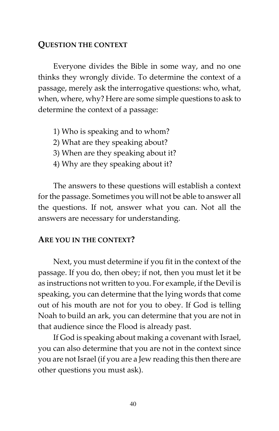#### QUESTION THE CONTEXT

Everyone divides the Bible in some way, and no one thinks they wrongly divide. To determine the context of a passage, merely ask the interrogative questions: who, what, when, where, why? Here are some simple questions to ask to determine the context of a passage:

- 1) Who is speaking and to whom?
- 2) What are they speaking about?
- 3) When are they speaking about it?
- 4) Why are they speaking about it?

The answers to these questions will establish a context for the passage. Sometimes you will not be able to answer all the questions. If not, answer what you can. Not all the answers are necessary for understanding.

#### ARE YOU IN THE CONTEXT?

Next, you must determine if you fit in the context of the passage. If you do, then obey; if not, then you must let it be as instructions not written to you. For example, if the Devil is speaking, you can determine that the lying words that come out of his mouth are not for you to obey. If God is telling Noah to build an ark, you can determine that you are not in that audience since the Flood is already past.

If God is speaking about making a covenant with Israel, you can also determine that you are not in the context since you are not Israel (if you are a Jew reading this then there are other questions you must ask).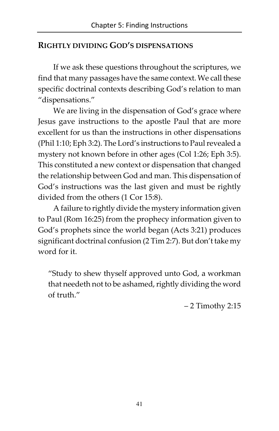#### RIGHTLY DIVIDING GOD'S DISPENSATIONS

If we ask these questions throughout the scriptures, we find that many passages have the same context. We call these specific doctrinal contexts describing God's relation to man "dispensations."

We are living in the dispensation of God's grace where Jesus gave instructions to the apostle Paul that are more excellent for us than the instructions in other dispensations (Phil 1:10; Eph 3:2). The Lord's instructions to Paul revealed a mystery not known before in other ages (Col 1:26; Eph 3:5). This constituted a new context or dispensation that changed the relationship between God and man. This dispensation of God's instructions was the last given and must be rightly divided from the others (1 Cor 15:8).

A failure to rightly divide the mystery information given to Paul (Rom 16:25) from the prophecy information given to God's prophets since the world began (Acts 3:21) produces significant doctrinal confusion (2 Tim 2:7). But don't take my word for it.

"Study to shew thyself approved unto God, a workman that needeth not to be ashamed, rightly dividing the word of truth."

– 2 Timothy 2:15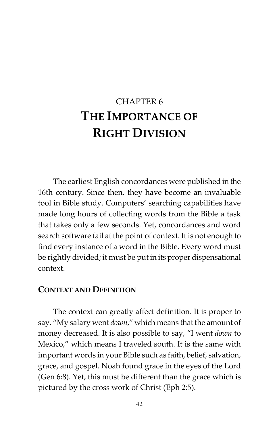# CHAPTER 6 THE IMPORTANCE OF RIGHT DIVISION

The earliest English concordances were published in the 16th century. Since then, they have become an invaluable tool in Bible study. Computers' searching capabilities have made long hours of collecting words from the Bible a task that takes only a few seconds. Yet, concordances and word search software fail at the point of context. It is not enough to find every instance of a word in the Bible. Every word must be rightly divided; it must be put in its proper dispensational context.

#### CONTEXT AND DEFINITION

The context can greatly affect definition. It is proper to say, "My salary went down," which means that the amount of money decreased. It is also possible to say, "I went down to Mexico," which means I traveled south. It is the same with important words in your Bible such as faith, belief, salvation, grace, and gospel. Noah found grace in the eyes of the Lord (Gen 6:8). Yet, this must be different than the grace which is pictured by the cross work of Christ (Eph 2:5).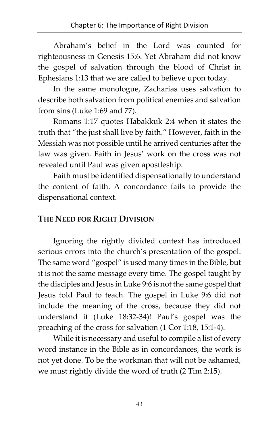Abraham's belief in the Lord was counted for righteousness in Genesis 15:6. Yet Abraham did not know the gospel of salvation through the blood of Christ in Ephesians 1:13 that we are called to believe upon today.

In the same monologue, Zacharias uses salvation to describe both salvation from political enemies and salvation from sins (Luke 1:69 and 77).

Romans 1:17 quotes Habakkuk 2:4 when it states the truth that "the just shall live by faith." However, faith in the Messiah was not possible until he arrived centuries after the law was given. Faith in Jesus' work on the cross was not revealed until Paul was given apostleship.

Faith must be identified dispensationally to understand the content of faith. A concordance fails to provide the dispensational context.

#### THE NEED FOR RIGHT DIVISION

Ignoring the rightly divided context has introduced serious errors into the church's presentation of the gospel. The same word "gospel" is used many times in the Bible, but it is not the same message every time. The gospel taught by the disciples and Jesus in Luke 9:6 is not the same gospel that Jesus told Paul to teach. The gospel in Luke 9:6 did not include the meaning of the cross, because they did not understand it (Luke 18:32-34)! Paul's gospel was the preaching of the cross for salvation (1 Cor 1:18, 15:1-4).

While it is necessary and useful to compile a list of every word instance in the Bible as in concordances, the work is not yet done. To be the workman that will not be ashamed, we must rightly divide the word of truth (2 Tim 2:15).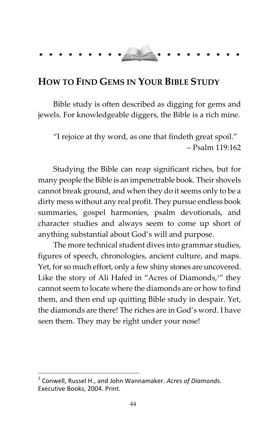# HOW TO FIND GEMS IN YOUR BIBLE STUDY

Bible study is often described as digging for gems and jewels. For knowledgeable diggers, the Bible is a rich mine.

"I rejoice at thy word, as one that findeth great spoil." – Psalm 119:162

Studying the Bible can reap significant riches, but for many people the Bible is an impenetrable book. Their shovels cannot break ground, and when they do it seems only to be a dirty mess without any real profit. They pursue endless book summaries, gospel harmonies, psalm devotionals, and character studies and always seem to come up short of anything substantial about God's will and purpose.

The more technical student dives into grammar studies, figures of speech, chronologies, ancient culture, and maps. Yet, for so much effort, only a few shiny stones are uncovered. Like the story of Ali Hafed in "Acres of Diamonds,<sup>1"</sup> they cannot seem to locate where the diamonds are or how to find them, and then end up quitting Bible study in despair. Yet, the diamonds are there! The riches are in God's word. I have seen them. They may be right under your nose!

l

<sup>1</sup> Conwell, Russel H., and John Wannamaker. Acres of Diamonds. Executive Books, 2004. Print.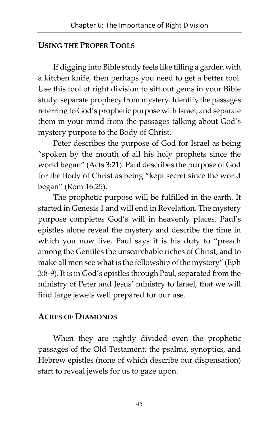#### USING THE PROPER TOOLS

If digging into Bible study feels like tilling a garden with a kitchen knife, then perhaps you need to get a better tool. Use this tool of right division to sift out gems in your Bible study: separate prophecy from mystery. Identify the passages referring to God's prophetic purpose with Israel, and separate them in your mind from the passages talking about God's mystery purpose to the Body of Christ.

Peter describes the purpose of God for Israel as being "spoken by the mouth of all his holy prophets since the world began" (Acts 3:21). Paul describes the purpose of God for the Body of Christ as being "kept secret since the world began" (Rom 16:25).

The prophetic purpose will be fulfilled in the earth. It started in Genesis 1 and will end in Revelation. The mystery purpose completes God's will in heavenly places. Paul's epistles alone reveal the mystery and describe the time in which you now live. Paul says it is his duty to "preach among the Gentiles the unsearchable riches of Christ; and to make all men see what is the fellowship of the mystery" (Eph 3:8-9). It is in God's epistles through Paul, separated from the ministry of Peter and Jesus' ministry to Israel, that we will find large jewels well prepared for our use.

#### ACRES OF DIAMONDS

When they are rightly divided even the prophetic passages of the Old Testament, the psalms, synoptics, and Hebrew epistles (none of which describe our dispensation) start to reveal jewels for us to gaze upon.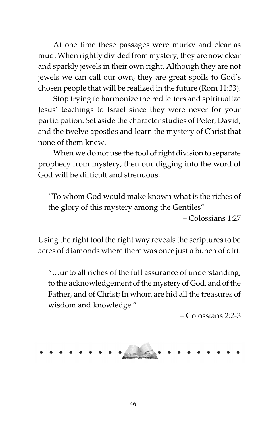At one time these passages were murky and clear as mud. When rightly divided from mystery, they are now clear and sparkly jewels in their own right. Although they are not jewels we can call our own, they are great spoils to God's chosen people that will be realized in the future (Rom 11:33).

Stop trying to harmonize the red letters and spiritualize Jesus' teachings to Israel since they were never for your participation. Set aside the character studies of Peter, David, and the twelve apostles and learn the mystery of Christ that none of them knew.

When we do not use the tool of right division to separate prophecy from mystery, then our digging into the word of God will be difficult and strenuous.

"To whom God would make known what is the riches of the glory of this mystery among the Gentiles"

– Colossians 1:27

Using the right tool the right way reveals the scriptures to be acres of diamonds where there was once just a bunch of dirt.

"…unto all riches of the full assurance of understanding, to the acknowledgement of the mystery of God, and of the Father, and of Christ; In whom are hid all the treasures of wisdom and knowledge."

– Colossians 2:2-3

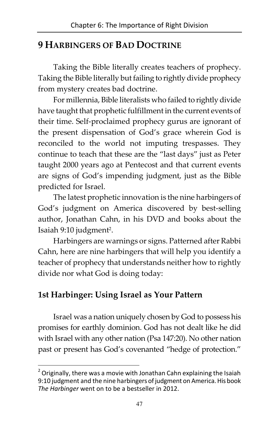# 9 HARBINGERS OF BAD DOCTRINE

Taking the Bible literally creates teachers of prophecy. Taking the Bible literally but failing to rightly divide prophecy from mystery creates bad doctrine.

For millennia, Bible literalists who failed to rightly divide have taught that prophetic fulfillment in the current events of their time. Self-proclaimed prophecy gurus are ignorant of the present dispensation of God's grace wherein God is reconciled to the world not imputing trespasses. They continue to teach that these are the "last days" just as Peter taught 2000 years ago at Pentecost and that current events are signs of God's impending judgment, just as the Bible predicted for Israel.

The latest prophetic innovation is the nine harbingers of God's judgment on America discovered by best-selling author, Jonathan Cahn, in his DVD and books about the Isaiah 9:10 judgment<sup>2</sup>.

Harbingers are warnings or signs. Patterned after Rabbi Cahn, here are nine harbingers that will help you identify a teacher of prophecy that understands neither how to rightly divide nor what God is doing today:

# 1st Harbinger: Using Israel as Your Pattern

 $\overline{a}$ 

Israel was a nation uniquely chosen by God to possess his promises for earthly dominion. God has not dealt like he did with Israel with any other nation (Psa 147:20). No other nation past or present has God's covenanted "hedge of protection."

 $2$  Originally, there was a movie with Jonathan Cahn explaining the Isaiah 9:10 judgment and the nine harbingers of judgment on America. His book The Harbinger went on to be a bestseller in 2012.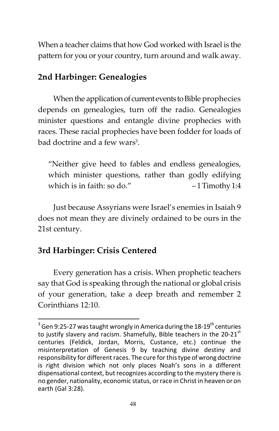When a teacher claims that how God worked with Israel is the pattern for you or your country, turn around and walk away.

## 2nd Harbinger: Genealogies

When the application of current events to Bible prophecies depends on genealogies, turn off the radio. Genealogies minister questions and entangle divine prophecies with races. These racial prophecies have been fodder for loads of bad doctrine and a few wars<sup>3</sup>.

"Neither give heed to fables and endless genealogies, which minister questions, rather than godly edifying which is in faith: so do."  $-1$  Timothy 1:4

Just because Assyrians were Israel's enemies in Isaiah 9 does not mean they are divinely ordained to be ours in the 21st century.

# 3rd Harbinger: Crisis Centered

Every generation has a crisis. When prophetic teachers say that God is speaking through the national or global crisis of your generation, take a deep breath and remember 2 Corinthians 12:10.

 3 Gen 9:25-27 was taught wrongly in America during the 18-19th centuries to justify slavery and racism. Shamefully, Bible teachers in the 20-21 $^{\rm st}$ centuries (Feldick, Jordan, Morris, Custance, etc.) continue the misinterpretation of Genesis 9 by teaching divine destiny and responsibility for different races. The cure for this type of wrong doctrine is right division which not only places Noah's sons in a different dispensational context, but recognizes according to the mystery there is no gender, nationality, economic status, or race in Christ in heaven or on earth (Gal 3:28).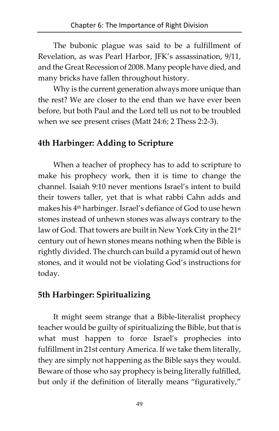The bubonic plague was said to be a fulfillment of Revelation, as was Pearl Harbor, JFK's assassination, 9/11, and the Great Recession of 2008. Many people have died, and many bricks have fallen throughout history.

Why is the current generation always more unique than the rest? We are closer to the end than we have ever been before, but both Paul and the Lord tell us not to be troubled when we see present crises (Matt 24:6; 2 Thess 2:2-3).

#### 4th Harbinger: Adding to Scripture

When a teacher of prophecy has to add to scripture to make his prophecy work, then it is time to change the channel. Isaiah 9:10 never mentions Israel's intent to build their towers taller, yet that is what rabbi Cahn adds and makes his 4<sup>th</sup> harbinger. Israel's defiance of God to use hewn stones instead of unhewn stones was always contrary to the law of God. That towers are built in New York City in the 21<sup>st</sup> century out of hewn stones means nothing when the Bible is rightly divided. The church can build a pyramid out of hewn stones, and it would not be violating God's instructions for today.

#### 5th Harbinger: Spiritualizing

It might seem strange that a Bible-literalist prophecy teacher would be guilty of spiritualizing the Bible, but that is what must happen to force Israel's prophecies into fulfillment in 21st century America. If we take them literally, they are simply not happening as the Bible says they would. Beware of those who say prophecy is being literally fulfilled, but only if the definition of literally means "figuratively,"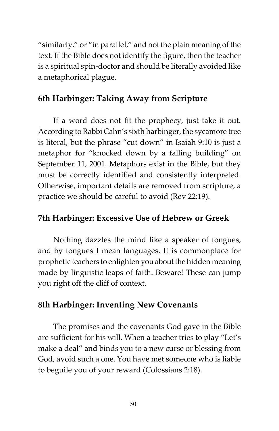"similarly," or "in parallel," and not the plain meaning of the text. If the Bible does not identify the figure, then the teacher is a spiritual spin-doctor and should be literally avoided like a metaphorical plague.

# 6th Harbinger: Taking Away from Scripture

If a word does not fit the prophecy, just take it out. According to Rabbi Cahn's sixth harbinger, the sycamore tree is literal, but the phrase "cut down" in Isaiah 9:10 is just a metaphor for "knocked down by a falling building" on September 11, 2001. Metaphors exist in the Bible, but they must be correctly identified and consistently interpreted. Otherwise, important details are removed from scripture, a practice we should be careful to avoid (Rev 22:19).

#### 7th Harbinger: Excessive Use of Hebrew or Greek

Nothing dazzles the mind like a speaker of tongues, and by tongues I mean languages. It is commonplace for prophetic teachers to enlighten you about the hidden meaning made by linguistic leaps of faith. Beware! These can jump you right off the cliff of context.

#### 8th Harbinger: Inventing New Covenants

The promises and the covenants God gave in the Bible are sufficient for his will. When a teacher tries to play "Let's make a deal" and binds you to a new curse or blessing from God, avoid such a one. You have met someone who is liable to beguile you of your reward (Colossians 2:18).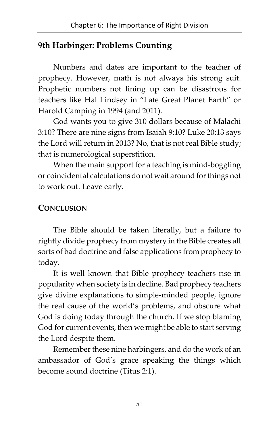# 9th Harbinger: Problems Counting

Numbers and dates are important to the teacher of prophecy. However, math is not always his strong suit. Prophetic numbers not lining up can be disastrous for teachers like Hal Lindsey in "Late Great Planet Earth" or Harold Camping in 1994 (and 2011).

God wants you to give 310 dollars because of Malachi 3:10? There are nine signs from Isaiah 9:10? Luke 20:13 says the Lord will return in 2013? No, that is not real Bible study; that is numerological superstition.

When the main support for a teaching is mind-boggling or coincidental calculations do not wait around for things not to work out. Leave early.

#### **CONCLUSION**

The Bible should be taken literally, but a failure to rightly divide prophecy from mystery in the Bible creates all sorts of bad doctrine and false applications from prophecy to today.

It is well known that Bible prophecy teachers rise in popularity when society is in decline. Bad prophecy teachers give divine explanations to simple-minded people, ignore the real cause of the world's problems, and obscure what God is doing today through the church. If we stop blaming God for current events, then we might be able to start serving the Lord despite them.

Remember these nine harbingers, and do the work of an ambassador of God's grace speaking the things which become sound doctrine (Titus 2:1).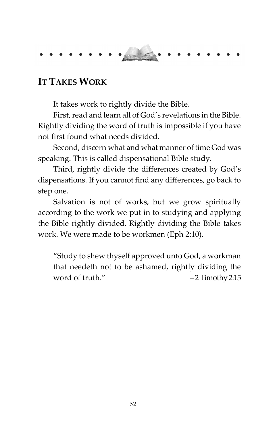

# IT TAKES WORK

It takes work to rightly divide the Bible.

First, read and learn all of God's revelations in the Bible. Rightly dividing the word of truth is impossible if you have not first found what needs divided.

Second, discern what and what manner of time God was speaking. This is called dispensational Bible study.

Third, rightly divide the differences created by God's dispensations. If you cannot find any differences, go back to step one.

Salvation is not of works, but we grow spiritually according to the work we put in to studying and applying the Bible rightly divided. Rightly dividing the Bible takes work. We were made to be workmen (Eph 2:10).

"Study to shew thyself approved unto God, a workman that needeth not to be ashamed, rightly dividing the word of truth." – 2 Timothy 2:15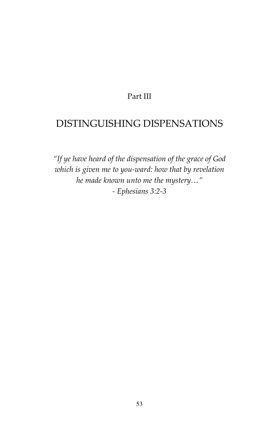#### Part III

# DISTINGUISHING DISPENSATIONS

"If ye have heard of the dispensation of the grace of God which is given me to you-ward: how that by revelation he made known unto me the mystery…" - Ephesians 3:2-3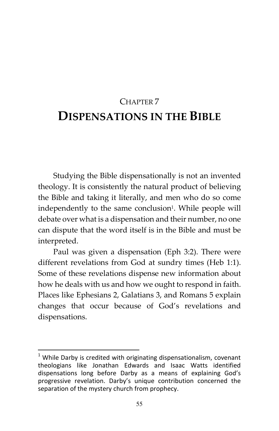# CHAPTER 7 DISPENSATIONS IN THE BIBLE

Studying the Bible dispensationally is not an invented theology. It is consistently the natural product of believing the Bible and taking it literally, and men who do so come independently to the same conclusion<sup>1</sup>. While people will debate over what is a dispensation and their number, no one can dispute that the word itself is in the Bible and must be interpreted.

Paul was given a dispensation (Eph 3:2). There were different revelations from God at sundry times (Heb 1:1). Some of these revelations dispense new information about how he deals with us and how we ought to respond in faith. Places like Ephesians 2, Galatians 3, and Romans 5 explain changes that occur because of God's revelations and dispensations.

-

 $1$  While Darby is credited with originating dispensationalism, covenant theologians like Jonathan Edwards and Isaac Watts identified dispensations long before Darby as a means of explaining God's progressive revelation. Darby's unique contribution concerned the separation of the mystery church from prophecy.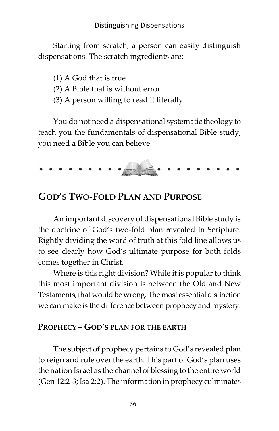Starting from scratch, a person can easily distinguish dispensations. The scratch ingredients are:

- (1) A God that is true
- (2) A Bible that is without error
- (3) A person willing to read it literally

You do not need a dispensational systematic theology to teach you the fundamentals of dispensational Bible study; you need a Bible you can believe.



# GOD'S TWO-FOLD PLAN AND PURPOSE

An important discovery of dispensational Bible study is the doctrine of God's two-fold plan revealed in Scripture. Rightly dividing the word of truth at this fold line allows us to see clearly how God's ultimate purpose for both folds comes together in Christ.

Where is this right division? While it is popular to think this most important division is between the Old and New Testaments, that would be wrong. The most essential distinction we can make is the difference between prophecy and mystery.

#### PROPHECY – GOD'S PLAN FOR THE EARTH

The subject of prophecy pertains to God's revealed plan to reign and rule over the earth. This part of God's plan uses the nation Israel as the channel of blessing to the entire world (Gen 12:2-3; Isa 2:2). The information in prophecy culminates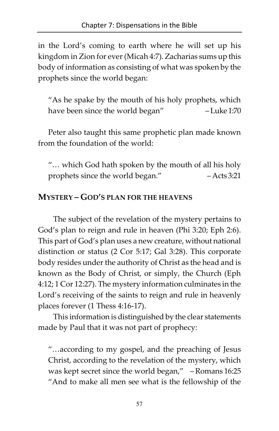in the Lord's coming to earth where he will set up his kingdom in Zion for ever (Micah 4:7). Zacharias sums up this body of information as consisting of what was spoken by the prophets since the world began:

"As he spake by the mouth of his holy prophets, which have been since the world began" – Luke 1:70

Peter also taught this same prophetic plan made known from the foundation of the world:

"… which God hath spoken by the mouth of all his holy prophets since the world began." – Acts 3:21

#### MYSTERY – GOD'S PLAN FOR THE HEAVENS

The subject of the revelation of the mystery pertains to God's plan to reign and rule in heaven (Phi 3:20; Eph 2:6). This part of God's plan uses a new creature, without national distinction or status (2 Cor 5:17; Gal 3:28). This corporate body resides under the authority of Christ as the head and is known as the Body of Christ, or simply, the Church (Eph 4:12; 1 Cor 12:27). The mystery information culminates in the Lord's receiving of the saints to reign and rule in heavenly places forever (1 Thess 4:16-17).

This information is distinguished by the clear statements made by Paul that it was not part of prophecy:

"…according to my gospel, and the preaching of Jesus Christ, according to the revelation of the mystery, which was kept secret since the world began," – Romans 16:25 "And to make all men see what is the fellowship of the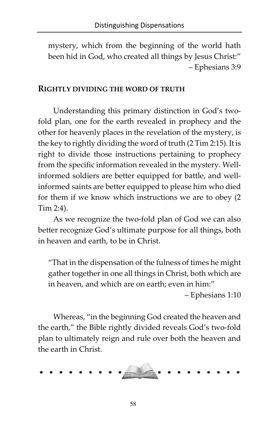mystery, which from the beginning of the world hath been hid in God, who created all things by Jesus Christ:" – Ephesians 3:9

#### RIGHTLY DIVIDING THE WORD OF TRUTH

Understanding this primary distinction in God's twofold plan, one for the earth revealed in prophecy and the other for heavenly places in the revelation of the mystery, is the key to rightly dividing the word of truth (2 Tim 2:15). It is right to divide those instructions pertaining to prophecy from the specific information revealed in the mystery. Wellinformed soldiers are better equipped for battle, and wellinformed saints are better equipped to please him who died for them if we know which instructions we are to obey (2 Tim 2:4).

As we recognize the two-fold plan of God we can also better recognize God's ultimate purpose for all things, both in heaven and earth, to be in Christ.

"That in the dispensation of the fulness of times he might gather together in one all things in Christ, both which are in heaven, and which are on earth; even in him:"

– Ephesians 1:10

Whereas, "in the beginning God created the heaven and the earth," the Bible rightly divided reveals God's two-fold plan to ultimately reign and rule over both the heaven and the earth in Christ.

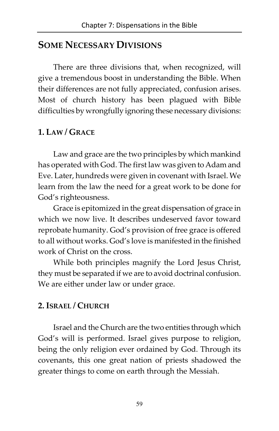# SOME NECESSARY DIVISIONS

There are three divisions that, when recognized, will give a tremendous boost in understanding the Bible. When their differences are not fully appreciated, confusion arises. Most of church history has been plagued with Bible difficulties by wrongfully ignoring these necessary divisions:

#### 1. LAW / GRACE

Law and grace are the two principles by which mankind has operated with God. The first law was given to Adam and Eve. Later, hundreds were given in covenant with Israel. We learn from the law the need for a great work to be done for God's righteousness.

Grace is epitomized in the great dispensation of grace in which we now live. It describes undeserved favor toward reprobate humanity. God's provision of free grace is offered to all without works. God's love is manifested in the finished work of Christ on the cross.

While both principles magnify the Lord Jesus Christ, they must be separated if we are to avoid doctrinal confusion. We are either under law or under grace.

#### 2. ISRAEL / CHURCH

Israel and the Church are the two entities through which God's will is performed. Israel gives purpose to religion, being the only religion ever ordained by God. Through its covenants, this one great nation of priests shadowed the greater things to come on earth through the Messiah.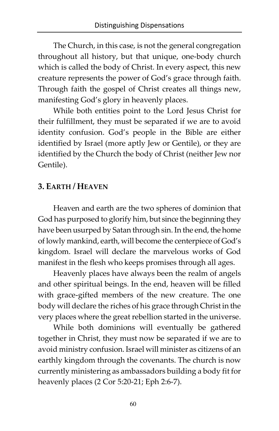The Church, in this case, is not the general congregation throughout all history, but that unique, one-body church which is called the body of Christ. In every aspect, this new creature represents the power of God's grace through faith. Through faith the gospel of Christ creates all things new, manifesting God's glory in heavenly places.

While both entities point to the Lord Jesus Christ for their fulfillment, they must be separated if we are to avoid identity confusion. God's people in the Bible are either identified by Israel (more aptly Jew or Gentile), or they are identified by the Church the body of Christ (neither Jew nor Gentile).

#### 3. EARTH / HEAVEN

Heaven and earth are the two spheres of dominion that God has purposed to glorify him, but since the beginning they have been usurped by Satan through sin. In the end, the home of lowly mankind, earth, will become the centerpiece of God's kingdom. Israel will declare the marvelous works of God manifest in the flesh who keeps promises through all ages.

Heavenly places have always been the realm of angels and other spiritual beings. In the end, heaven will be filled with grace-gifted members of the new creature. The one body will declare the riches of his grace through Christ in the very places where the great rebellion started in the universe.

While both dominions will eventually be gathered together in Christ, they must now be separated if we are to avoid ministry confusion. Israel will minister as citizens of an earthly kingdom through the covenants. The church is now currently ministering as ambassadors building a body fit for heavenly places (2 Cor 5:20-21; Eph 2:6-7).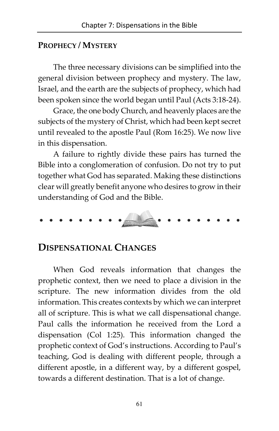#### PROPHECY / MYSTERY

The three necessary divisions can be simplified into the general division between prophecy and mystery. The law, Israel, and the earth are the subjects of prophecy, which had been spoken since the world began until Paul (Acts 3:18-24).

Grace, the one body Church, and heavenly places are the subjects of the mystery of Christ, which had been kept secret until revealed to the apostle Paul (Rom 16:25). We now live in this dispensation.

A failure to rightly divide these pairs has turned the Bible into a conglomeration of confusion. Do not try to put together what God has separated. Making these distinctions clear will greatly benefit anyone who desires to grow in their understanding of God and the Bible.

#### DISPENSATIONAL CHANGES

When God reveals information that changes the prophetic context, then we need to place a division in the scripture. The new information divides from the old information. This creates contexts by which we can interpret all of scripture. This is what we call dispensational change. Paul calls the information he received from the Lord a dispensation (Col 1:25). This information changed the prophetic context of God's instructions. According to Paul's teaching, God is dealing with different people, through a different apostle, in a different way, by a different gospel, towards a different destination. That is a lot of change.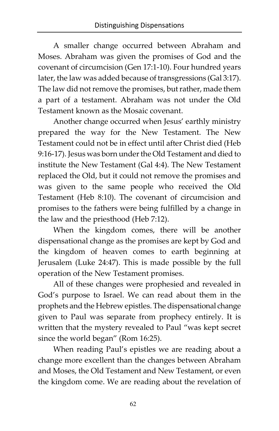A smaller change occurred between Abraham and Moses. Abraham was given the promises of God and the covenant of circumcision (Gen 17:1-10). Four hundred years later, the law was added because of transgressions (Gal 3:17). The law did not remove the promises, but rather, made them a part of a testament. Abraham was not under the Old Testament known as the Mosaic covenant.

Another change occurred when Jesus' earthly ministry prepared the way for the New Testament. The New Testament could not be in effect until after Christ died (Heb 9:16-17). Jesus was born under the Old Testament and died to institute the New Testament (Gal 4:4). The New Testament replaced the Old, but it could not remove the promises and was given to the same people who received the Old Testament (Heb 8:10). The covenant of circumcision and promises to the fathers were being fulfilled by a change in the law and the priesthood (Heb 7:12).

When the kingdom comes, there will be another dispensational change as the promises are kept by God and the kingdom of heaven comes to earth beginning at Jerusalem (Luke 24:47). This is made possible by the full operation of the New Testament promises.

All of these changes were prophesied and revealed in God's purpose to Israel. We can read about them in the prophets and the Hebrew epistles. The dispensational change given to Paul was separate from prophecy entirely. It is written that the mystery revealed to Paul "was kept secret since the world began" (Rom 16:25).

When reading Paul's epistles we are reading about a change more excellent than the changes between Abraham and Moses, the Old Testament and New Testament, or even the kingdom come. We are reading about the revelation of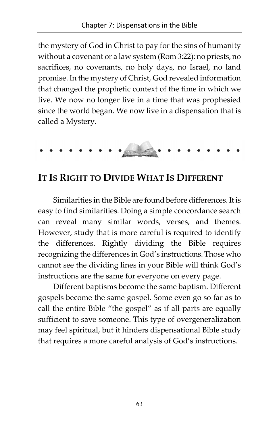the mystery of God in Christ to pay for the sins of humanity without a covenant or a law system (Rom 3:22): no priests, no sacrifices, no covenants, no holy days, no Israel, no land promise. In the mystery of Christ, God revealed information that changed the prophetic context of the time in which we live. We now no longer live in a time that was prophesied since the world began. We now live in a dispensation that is called a Mystery.

$$
\cdots \cdots \cdots
$$

# IT IS RIGHT TO DIVIDE WHAT IS DIFFERENT

Similarities in the Bible are found before differences. It is easy to find similarities. Doing a simple concordance search can reveal many similar words, verses, and themes. However, study that is more careful is required to identify the differences. Rightly dividing the Bible requires recognizing the differences in God's instructions. Those who cannot see the dividing lines in your Bible will think God's instructions are the same for everyone on every page.

Different baptisms become the same baptism. Different gospels become the same gospel. Some even go so far as to call the entire Bible "the gospel" as if all parts are equally sufficient to save someone. This type of overgeneralization may feel spiritual, but it hinders dispensational Bible study that requires a more careful analysis of God's instructions.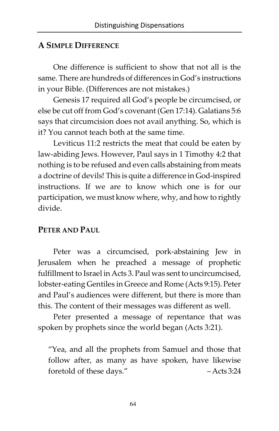#### A SIMPLE DIFFERENCE

One difference is sufficient to show that not all is the same. There are hundreds of differences in God's instructions in your Bible. (Differences are not mistakes.)

Genesis 17 required all God's people be circumcised, or else be cut off from God's covenant (Gen 17:14). Galatians 5:6 says that circumcision does not avail anything. So, which is it? You cannot teach both at the same time.

Leviticus 11:2 restricts the meat that could be eaten by law-abiding Jews. However, Paul says in 1 Timothy 4:2 that nothing is to be refused and even calls abstaining from meats a doctrine of devils! This is quite a difference in God-inspired instructions. If we are to know which one is for our participation, we must know where, why, and how to rightly divide.

#### PETER AND PAUL

Peter was a circumcised, pork-abstaining Jew in Jerusalem when he preached a message of prophetic fulfillment to Israel in Acts 3. Paul was sent to uncircumcised, lobster-eating Gentiles in Greece and Rome (Acts 9:15). Peter and Paul's audiences were different, but there is more than this. The content of their messages was different as well.

Peter presented a message of repentance that was spoken by prophets since the world began (Acts 3:21).

"Yea, and all the prophets from Samuel and those that follow after, as many as have spoken, have likewise foretold of these days." – Acts 3:24

64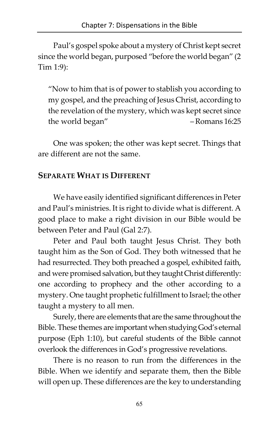Paul's gospel spoke about a mystery of Christ kept secret since the world began, purposed "before the world began" (2 Tim 1:9):

"Now to him that is of power to stablish you according to my gospel, and the preaching of Jesus Christ, according to the revelation of the mystery, which was kept secret since the world began" – Romans 16:25

One was spoken; the other was kept secret. Things that are different are not the same.

# SEPARATE WHAT IS DIFFERENT

We have easily identified significant differences in Peter and Paul's ministries. It is right to divide what is different. A good place to make a right division in our Bible would be between Peter and Paul (Gal 2:7).

Peter and Paul both taught Jesus Christ. They both taught him as the Son of God. They both witnessed that he had resurrected. They both preached a gospel, exhibited faith, and were promised salvation, but they taught Christ differently: one according to prophecy and the other according to a mystery. One taught prophetic fulfillment to Israel; the other taught a mystery to all men.

Surely, there are elements that are the same throughout the Bible. These themes are important when studying God's eternal purpose (Eph 1:10), but careful students of the Bible cannot overlook the differences in God's progressive revelations.

There is no reason to run from the differences in the Bible. When we identify and separate them, then the Bible will open up. These differences are the key to understanding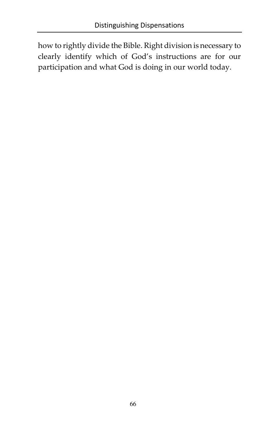how to rightly divide the Bible. Right division is necessary to clearly identify which of God's instructions are for our participation and what God is doing in our world today.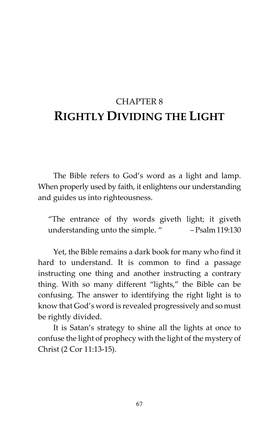# CHAPTER 8 RIGHTLY DIVIDING THE LIGHT

The Bible refers to God's word as a light and lamp. When properly used by faith, it enlightens our understanding and guides us into righteousness.

"The entrance of thy words giveth light; it giveth understanding unto the simple. " – Psalm 119:130

Yet, the Bible remains a dark book for many who find it hard to understand. It is common to find a passage instructing one thing and another instructing a contrary thing. With so many different "lights," the Bible can be confusing. The answer to identifying the right light is to know that God's word is revealed progressively and so must be rightly divided.

It is Satan's strategy to shine all the lights at once to confuse the light of prophecy with the light of the mystery of Christ (2 Cor 11:13-15).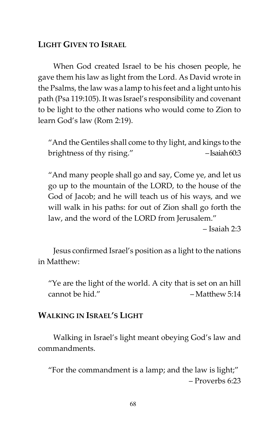## LIGHT GIVEN TO ISRAEL

When God created Israel to be his chosen people, he gave them his law as light from the Lord. As David wrote in the Psalms, the law was a lamp to his feet and a light unto his path (Psa 119:105). It was Israel's responsibility and covenant to be light to the other nations who would come to Zion to learn God's law (Rom 2:19).

"And the Gentiles shall come to thy light, and kings to the brightness of thy rising." - Saiah 60:3

"And many people shall go and say, Come ye, and let us go up to the mountain of the LORD, to the house of the God of Jacob; and he will teach us of his ways, and we will walk in his paths: for out of Zion shall go forth the law, and the word of the LORD from Jerusalem."

– Isaiah 2:3

Jesus confirmed Israel's position as a light to the nations in Matthew:

"Ye are the light of the world. A city that is set on an hill cannot be hid." – Matthew 5:14

## WALKING IN ISRAEL'S LIGHT

Walking in Israel's light meant obeying God's law and commandments.

"For the commandment is a lamp; and the law is light;" – Proverbs 6:23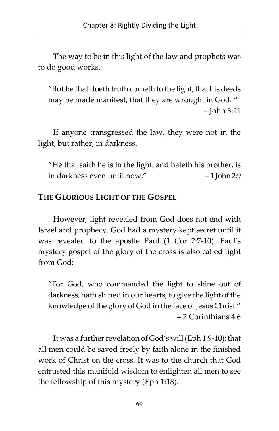The way to be in this light of the law and prophets was to do good works.

"But he that doeth truth cometh to the light, that his deeds may be made manifest, that they are wrought in God. " – John 3:21

If anyone transgressed the law, they were not in the light, but rather, in darkness.

"He that saith he is in the light, and hateth his brother, is in darkness even until now." – 1 John 2:9

## THE GLORIOUS LIGHT OF THE GOSPEL

However, light revealed from God does not end with Israel and prophecy. God had a mystery kept secret until it was revealed to the apostle Paul (1 Cor 2:7-10). Paul's mystery gospel of the glory of the cross is also called light from God:

"For God, who commanded the light to shine out of darkness, hath shined in our hearts, to give the light of the knowledge of the glory of God in the face of Jesus Christ." – 2 Corinthians 4:6

It was a further revelation of God's will (Eph 1:9-10): that all men could be saved freely by faith alone in the finished work of Christ on the cross. It was to the church that God entrusted this manifold wisdom to enlighten all men to see the fellowship of this mystery (Eph 1:18).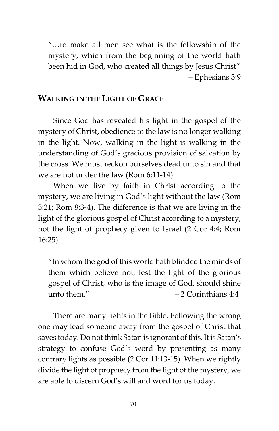"…to make all men see what is the fellowship of the mystery, which from the beginning of the world hath been hid in God, who created all things by Jesus Christ" – Ephesians 3:9

#### WALKING IN THE LIGHT OF GRACE

Since God has revealed his light in the gospel of the mystery of Christ, obedience to the law is no longer walking in the light. Now, walking in the light is walking in the understanding of God's gracious provision of salvation by the cross. We must reckon ourselves dead unto sin and that we are not under the law (Rom 6:11-14).

When we live by faith in Christ according to the mystery, we are living in God's light without the law (Rom 3:21; Rom 8:3-4). The difference is that we are living in the light of the glorious gospel of Christ according to a mystery, not the light of prophecy given to Israel (2 Cor 4:4; Rom 16:25).

"In whom the god of this world hath blinded the minds of them which believe not, lest the light of the glorious gospel of Christ, who is the image of God, should shine unto them."  $-2$  Corinthians 4:4

There are many lights in the Bible. Following the wrong one may lead someone away from the gospel of Christ that saves today. Do not think Satan is ignorant of this. It is Satan's strategy to confuse God's word by presenting as many contrary lights as possible (2 Cor 11:13-15). When we rightly divide the light of prophecy from the light of the mystery, we are able to discern God's will and word for us today.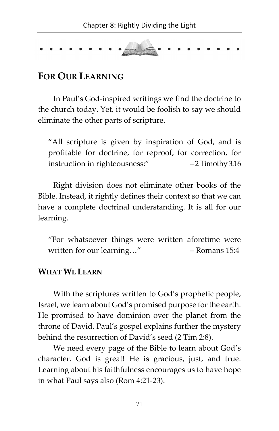

# FOR OUR LEARNING

In Paul's God-inspired writings we find the doctrine to the church today. Yet, it would be foolish to say we should eliminate the other parts of scripture.

"All scripture is given by inspiration of God, and is profitable for doctrine, for reproof, for correction, for instruction in righteousness:" – 2 Timothy 3:16

Right division does not eliminate other books of the Bible. Instead, it rightly defines their context so that we can have a complete doctrinal understanding. It is all for our learning.

"For whatsoever things were written aforetime were written for our learning..." – Romans 15:4

#### WHAT WE LEARN

With the scriptures written to God's prophetic people, Israel, we learn about God's promised purpose for the earth. He promised to have dominion over the planet from the throne of David. Paul's gospel explains further the mystery behind the resurrection of David's seed (2 Tim 2:8).

We need every page of the Bible to learn about God's character. God is great! He is gracious, just, and true. Learning about his faithfulness encourages us to have hope in what Paul says also (Rom 4:21-23).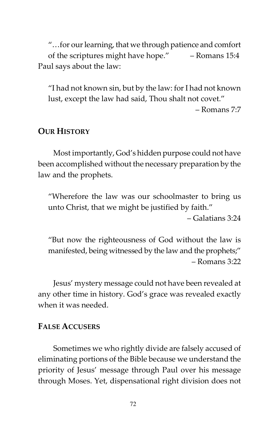"…for our learning, that we through patience and comfort of the scriptures might have hope." – Romans 15:4 Paul says about the law:

"I had not known sin, but by the law: for I had not known lust, except the law had said, Thou shalt not covet."

– Romans 7:7

#### OUR HISTORY

Most importantly, God's hidden purpose could not have been accomplished without the necessary preparation by the law and the prophets.

"Wherefore the law was our schoolmaster to bring us unto Christ, that we might be justified by faith."

– Galatians 3:24

"But now the righteousness of God without the law is manifested, being witnessed by the law and the prophets;" – Romans 3:22

Jesus' mystery message could not have been revealed at any other time in history. God's grace was revealed exactly when it was needed.

#### FALSE ACCUSERS

Sometimes we who rightly divide are falsely accused of eliminating portions of the Bible because we understand the priority of Jesus' message through Paul over his message through Moses. Yet, dispensational right division does not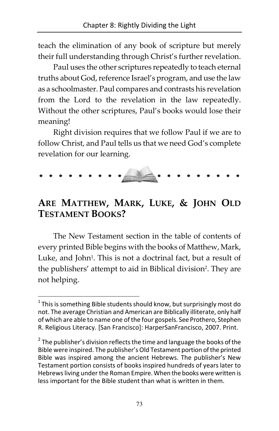teach the elimination of any book of scripture but merely their full understanding through Christ's further revelation.

Paul uses the other scriptures repeatedly to teach eternal truths about God, reference Israel's program, and use the law as a schoolmaster. Paul compares and contrasts his revelation from the Lord to the revelation in the law repeatedly. Without the other scriptures, Paul's books would lose their meaning!

Right division requires that we follow Paul if we are to follow Christ, and Paul tells us that we need God's complete revelation for our learning.

# ARE MATTHEW, MARK, LUKE, & JOHN OLD TESTAMENT BOOKS?

The New Testament section in the table of contents of every printed Bible begins with the books of Matthew, Mark, Luke, and John<sup>1</sup>. This is not a doctrinal fact, but a result of the publishers' attempt to aid in Biblical division<sup>2</sup>. They are not helping.

<u>.</u>

 $^1$  This is something Bible students should know, but surprisingly most do not. The average Christian and American are Biblically illiterate, only half of which are able to name one of the four gospels. See Prothero, Stephen R. Religious Literacy. [San Francisco]: HarperSanFrancisco, 2007. Print.

 $2$  The publisher's division reflects the time and language the books of the Bible were inspired. The publisher's Old Testament portion of the printed Bible was inspired among the ancient Hebrews. The publisher's New Testament portion consists of books inspired hundreds of years later to Hebrews living under the Roman Empire. When the books were written is less important for the Bible student than what is written in them.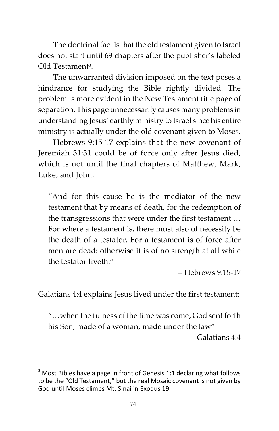The doctrinal fact is that the old testament given to Israel does not start until 69 chapters after the publisher's labeled Old Testament<sup>3</sup>.

The unwarranted division imposed on the text poses a hindrance for studying the Bible rightly divided. The problem is more evident in the New Testament title page of separation. This page unnecessarily causes many problems in understanding Jesus' earthly ministry to Israel since his entire ministry is actually under the old covenant given to Moses.

Hebrews 9:15-17 explains that the new covenant of Jeremiah 31:31 could be of force only after Jesus died, which is not until the final chapters of Matthew, Mark, Luke, and John.

"And for this cause he is the mediator of the new testament that by means of death, for the redemption of the transgressions that were under the first testament … For where a testament is, there must also of necessity be the death of a testator. For a testament is of force after men are dead: otherwise it is of no strength at all while the testator liveth."

– Hebrews 9:15-17

Galatians 4:4 explains Jesus lived under the first testament:

"…when the fulness of the time was come, God sent forth his Son, made of a woman, made under the law"

– Galatians 4:4

 $\overline{a}$ 

 $3$  Most Bibles have a page in front of Genesis 1:1 declaring what follows to be the "Old Testament," but the real Mosaic covenant is not given by God until Moses climbs Mt. Sinai in Exodus 19.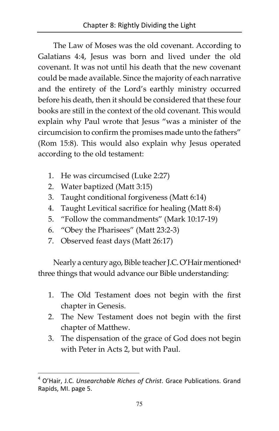The Law of Moses was the old covenant. According to Galatians 4:4, Jesus was born and lived under the old covenant. It was not until his death that the new covenant could be made available. Since the majority of each narrative and the entirety of the Lord's earthly ministry occurred before his death, then it should be considered that these four books are still in the context of the old covenant. This would explain why Paul wrote that Jesus "was a minister of the circumcision to confirm the promises made unto the fathers" (Rom 15:8). This would also explain why Jesus operated according to the old testament:

- 1. He was circumcised (Luke 2:27)
- 2. Water baptized (Matt 3:15)
- 3. Taught conditional forgiveness (Matt 6:14)
- 4. Taught Levitical sacrifice for healing (Matt 8:4)
- 5. "Follow the commandments" (Mark 10:17-19)
- 6. "Obey the Pharisees" (Matt 23:2-3)
- 7. Observed feast days (Matt 26:17)

l

Nearly a century ago, Bible teacher J.C. O'Hair mentioned<sup>4</sup> three things that would advance our Bible understanding:

- 1. The Old Testament does not begin with the first chapter in Genesis.
- 2. The New Testament does not begin with the first chapter of Matthew.
- 3. The dispensation of the grace of God does not begin with Peter in Acts 2, but with Paul.

<sup>4</sup> O'Hair, J.C. Unsearchable Riches of Christ. Grace Publications. Grand Rapids, MI. page 5.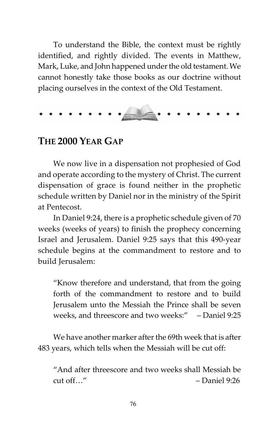To understand the Bible, the context must be rightly identified, and rightly divided. The events in Matthew, Mark, Luke, and John happened under the old testament. We cannot honestly take those books as our doctrine without placing ourselves in the context of the Old Testament.



# THE 2000 YEAR GAP

We now live in a dispensation not prophesied of God and operate according to the mystery of Christ. The current dispensation of grace is found neither in the prophetic schedule written by Daniel nor in the ministry of the Spirit at Pentecost.

In Daniel 9:24, there is a prophetic schedule given of 70 weeks (weeks of years) to finish the prophecy concerning Israel and Jerusalem. Daniel 9:25 says that this 490-year schedule begins at the commandment to restore and to build Jerusalem:

"Know therefore and understand, that from the going forth of the commandment to restore and to build Jerusalem unto the Messiah the Prince shall be seven weeks, and threescore and two weeks:" – Daniel 9:25

We have another marker after the 69th week that is after 483 years, which tells when the Messiah will be cut off:

"And after threescore and two weeks shall Messiah be  $cut off.$ " – Daniel 9:26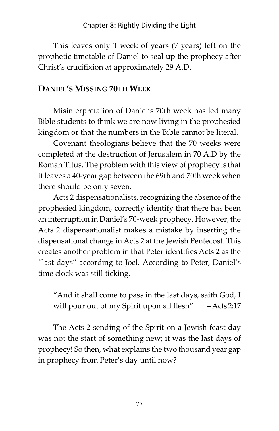This leaves only 1 week of years (7 years) left on the prophetic timetable of Daniel to seal up the prophecy after Christ's crucifixion at approximately 29 A.D.

# DANIEL'S MISSING 70TH WEEK

Misinterpretation of Daniel's 70th week has led many Bible students to think we are now living in the prophesied kingdom or that the numbers in the Bible cannot be literal.

Covenant theologians believe that the 70 weeks were completed at the destruction of Jerusalem in 70 A.D by the Roman Titus. The problem with this view of prophecy is that it leaves a 40-year gap between the 69th and 70th week when there should be only seven.

Acts 2 dispensationalists, recognizing the absence of the prophesied kingdom, correctly identify that there has been an interruption in Daniel's 70-week prophecy. However, the Acts 2 dispensationalist makes a mistake by inserting the dispensational change in Acts 2 at the Jewish Pentecost. This creates another problem in that Peter identifies Acts 2 as the "last days" according to Joel. According to Peter, Daniel's time clock was still ticking.

"And it shall come to pass in the last days, saith God, I will pour out of my Spirit upon all flesh" – Acts 2:17

The Acts 2 sending of the Spirit on a Jewish feast day was not the start of something new; it was the last days of prophecy! So then, what explains the two thousand year gap in prophecy from Peter's day until now?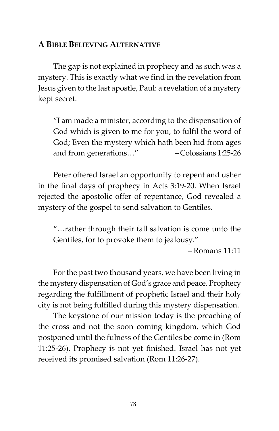#### A BIBLE BELIEVING ALTERNATIVE

The gap is not explained in prophecy and as such was a mystery. This is exactly what we find in the revelation from Jesus given to the last apostle, Paul: a revelation of a mystery kept secret.

"I am made a minister, according to the dispensation of God which is given to me for you, to fulfil the word of God; Even the mystery which hath been hid from ages and from generations…" – Colossians 1:25-26

Peter offered Israel an opportunity to repent and usher in the final days of prophecy in Acts 3:19-20. When Israel rejected the apostolic offer of repentance, God revealed a mystery of the gospel to send salvation to Gentiles.

"…rather through their fall salvation is come unto the Gentiles, for to provoke them to jealousy."

– Romans 11:11

For the past two thousand years, we have been living in the mystery dispensation of God's grace and peace. Prophecy regarding the fulfillment of prophetic Israel and their holy city is not being fulfilled during this mystery dispensation.

The keystone of our mission today is the preaching of the cross and not the soon coming kingdom, which God postponed until the fulness of the Gentiles be come in (Rom 11:25-26). Prophecy is not yet finished. Israel has not yet received its promised salvation (Rom 11:26-27).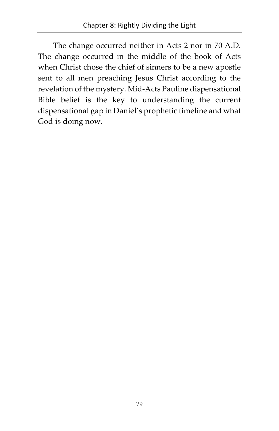The change occurred neither in Acts 2 nor in 70 A.D. The change occurred in the middle of the book of Acts when Christ chose the chief of sinners to be a new apostle sent to all men preaching Jesus Christ according to the revelation of the mystery. Mid-Acts Pauline dispensational Bible belief is the key to understanding the current dispensational gap in Daniel's prophetic timeline and what God is doing now.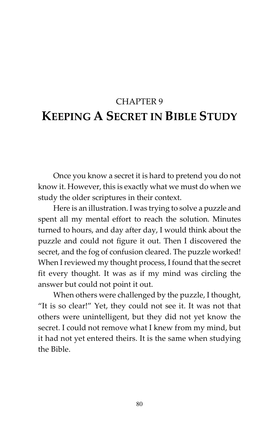# CHAPTER 9 KEEPING A SECRET IN BIBLE STUDY

Once you know a secret it is hard to pretend you do not know it. However, this is exactly what we must do when we study the older scriptures in their context.

Here is an illustration. I was trying to solve a puzzle and spent all my mental effort to reach the solution. Minutes turned to hours, and day after day, I would think about the puzzle and could not figure it out. Then I discovered the secret, and the fog of confusion cleared. The puzzle worked! When I reviewed my thought process, I found that the secret fit every thought. It was as if my mind was circling the answer but could not point it out.

When others were challenged by the puzzle, I thought, "It is so clear!" Yet, they could not see it. It was not that others were unintelligent, but they did not yet know the secret. I could not remove what I knew from my mind, but it had not yet entered theirs. It is the same when studying the Bible.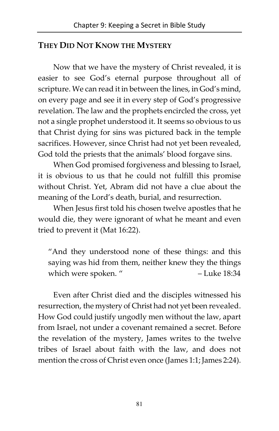# THEY DID NOT KNOW THE MYSTERY

Now that we have the mystery of Christ revealed, it is easier to see God's eternal purpose throughout all of scripture. We can read it in between the lines, in God's mind, on every page and see it in every step of God's progressive revelation. The law and the prophets encircled the cross, yet not a single prophet understood it. It seems so obvious to us that Christ dying for sins was pictured back in the temple sacrifices. However, since Christ had not yet been revealed, God told the priests that the animals' blood forgave sins.

When God promised forgiveness and blessing to Israel, it is obvious to us that he could not fulfill this promise without Christ. Yet, Abram did not have a clue about the meaning of the Lord's death, burial, and resurrection.

When Jesus first told his chosen twelve apostles that he would die, they were ignorant of what he meant and even tried to prevent it (Mat 16:22).

"And they understood none of these things: and this saying was hid from them, neither knew they the things which were spoken. " – Luke 18:34

Even after Christ died and the disciples witnessed his resurrection, the mystery of Christ had not yet been revealed. How God could justify ungodly men without the law, apart from Israel, not under a covenant remained a secret. Before the revelation of the mystery, James writes to the twelve tribes of Israel about faith with the law, and does not mention the cross of Christ even once (James 1:1; James 2:24).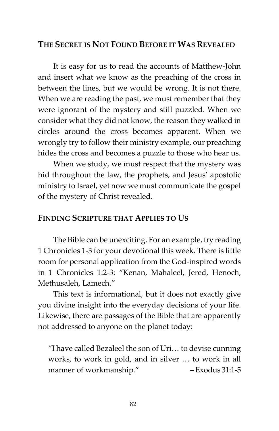#### THE SECRET IS NOT FOUND BEFORE IT WAS REVEALED

It is easy for us to read the accounts of Matthew-John and insert what we know as the preaching of the cross in between the lines, but we would be wrong. It is not there. When we are reading the past, we must remember that they were ignorant of the mystery and still puzzled. When we consider what they did not know, the reason they walked in circles around the cross becomes apparent. When we wrongly try to follow their ministry example, our preaching hides the cross and becomes a puzzle to those who hear us.

When we study, we must respect that the mystery was hid throughout the law, the prophets, and Jesus' apostolic ministry to Israel, yet now we must communicate the gospel of the mystery of Christ revealed.

#### FINDING SCRIPTURE THAT APPLIES TO US

The Bible can be unexciting. For an example, try reading 1 Chronicles 1-3 for your devotional this week. There is little room for personal application from the God-inspired words in 1 Chronicles 1:2-3: "Kenan, Mahaleel, Jered, Henoch, Methusaleh, Lamech."

This text is informational, but it does not exactly give you divine insight into the everyday decisions of your life. Likewise, there are passages of the Bible that are apparently not addressed to anyone on the planet today:

"I have called Bezaleel the son of Uri… to devise cunning works, to work in gold, and in silver … to work in all manner of workmanship." – Exodus 31:1-5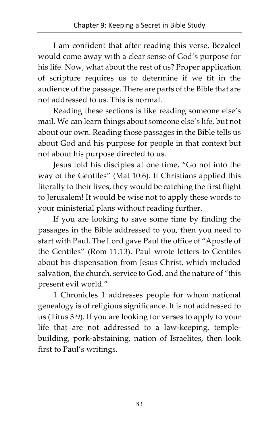I am confident that after reading this verse, Bezaleel would come away with a clear sense of God's purpose for his life. Now, what about the rest of us? Proper application of scripture requires us to determine if we fit in the audience of the passage. There are parts of the Bible that are not addressed to us. This is normal.

Reading these sections is like reading someone else's mail. We can learn things about someone else's life, but not about our own. Reading those passages in the Bible tells us about God and his purpose for people in that context but not about his purpose directed to us.

Jesus told his disciples at one time, "Go not into the way of the Gentiles" (Mat 10:6). If Christians applied this literally to their lives, they would be catching the first flight to Jerusalem! It would be wise not to apply these words to your ministerial plans without reading further.

If you are looking to save some time by finding the passages in the Bible addressed to you, then you need to start with Paul. The Lord gave Paul the office of "Apostle of the Gentiles" (Rom 11:13). Paul wrote letters to Gentiles about his dispensation from Jesus Christ, which included salvation, the church, service to God, and the nature of "this present evil world."

1 Chronicles 1 addresses people for whom national genealogy is of religious significance. It is not addressed to us (Titus 3:9). If you are looking for verses to apply to your life that are not addressed to a law-keeping, templebuilding, pork-abstaining, nation of Israelites, then look first to Paul's writings.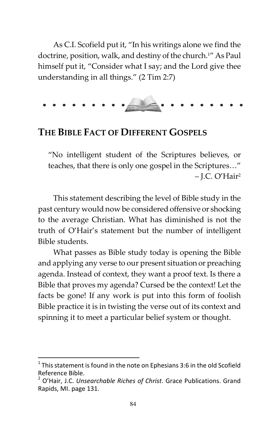As C.I. Scofield put it, "In his writings alone we find the doctrine, position, walk, and destiny of the church. <sup>1</sup>" As Paul himself put it, "Consider what I say; and the Lord give thee understanding in all things." (2 Tim 2:7)

# THE BIBLE FACT OF DIFFERENT GOSPELS

"No intelligent student of the Scriptures believes, or teaches, that there is only one gospel in the Scriptures…" – J.C. O'Hair<sup>2</sup>

This statement describing the level of Bible study in the past century would now be considered offensive or shocking to the average Christian. What has diminished is not the truth of O'Hair's statement but the number of intelligent Bible students.

What passes as Bible study today is opening the Bible and applying any verse to our present situation or preaching agenda. Instead of context, they want a proof text. Is there a Bible that proves my agenda? Cursed be the context! Let the facts be gone! If any work is put into this form of foolish Bible practice it is in twisting the verse out of its context and spinning it to meet a particular belief system or thought.

<u>.</u>

<sup>&</sup>lt;sup>1</sup> This statement is found in the note on Ephesians 3:6 in the old Scofield Reference Bible.

<sup>&</sup>lt;sup>2</sup> O'Hair, J.C. Unsearchable Riches of Christ. Grace Publications. Grand Rapids, MI. page 131.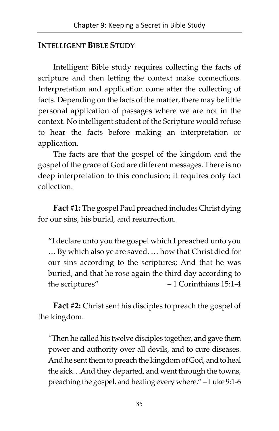# INTELLIGENT BIBLE STUDY

Intelligent Bible study requires collecting the facts of scripture and then letting the context make connections. Interpretation and application come after the collecting of facts. Depending on the facts of the matter, there may be little personal application of passages where we are not in the context. No intelligent student of the Scripture would refuse to hear the facts before making an interpretation or application.

The facts are that the gospel of the kingdom and the gospel of the grace of God are different messages. There is no deep interpretation to this conclusion; it requires only fact collection.

Fact #1: The gospel Paul preached includes Christ dying for our sins, his burial, and resurrection.

"I declare unto you the gospel which I preached unto you … By which also ye are saved. … how that Christ died for our sins according to the scriptures; And that he was buried, and that he rose again the third day according to the scriptures" – 1 Corinthians 15:1-4

Fact #2: Christ sent his disciples to preach the gospel of the kingdom.

"Then he called his twelve disciples together, and gave them power and authority over all devils, and to cure diseases. And he sent them to preach the kingdom of God, and to heal the sick…And they departed, and went through the towns, preaching the gospel, and healing every where." – Luke 9:1-6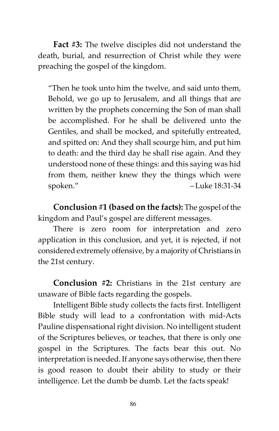Fact #3: The twelve disciples did not understand the death, burial, and resurrection of Christ while they were preaching the gospel of the kingdom.

"Then he took unto him the twelve, and said unto them, Behold, we go up to Jerusalem, and all things that are written by the prophets concerning the Son of man shall be accomplished. For he shall be delivered unto the Gentiles, and shall be mocked, and spitefully entreated, and spitted on: And they shall scourge him, and put him to death: and the third day he shall rise again. And they understood none of these things: and this saying was hid from them, neither knew they the things which were spoken." – Luke 18:31-34

Conclusion #1 (based on the facts): The gospel of the kingdom and Paul's gospel are different messages.

There is zero room for interpretation and zero application in this conclusion, and yet, it is rejected, if not considered extremely offensive, by a majority of Christians in the 21st century.

Conclusion #2: Christians in the 21st century are unaware of Bible facts regarding the gospels.

Intelligent Bible study collects the facts first. Intelligent Bible study will lead to a confrontation with mid-Acts Pauline dispensational right division. No intelligent student of the Scriptures believes, or teaches, that there is only one gospel in the Scriptures. The facts bear this out. No interpretation is needed. If anyone says otherwise, then there is good reason to doubt their ability to study or their intelligence. Let the dumb be dumb. Let the facts speak!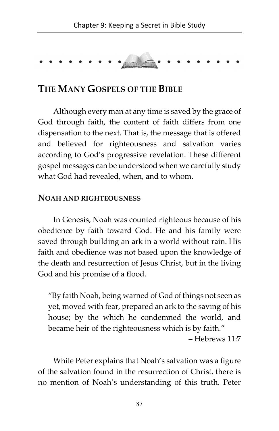# THE MANY GOSPELS OF THE BIBLE

Although every man at any time is saved by the grace of God through faith, the content of faith differs from one dispensation to the next. That is, the message that is offered and believed for righteousness and salvation varies according to God's progressive revelation. These different gospel messages can be understood when we carefully study what God had revealed, when, and to whom.

#### NOAH AND RIGHTEOUSNESS

In Genesis, Noah was counted righteous because of his obedience by faith toward God. He and his family were saved through building an ark in a world without rain. His faith and obedience was not based upon the knowledge of the death and resurrection of Jesus Christ, but in the living God and his promise of a flood.

"By faith Noah, being warned of God of things not seen as yet, moved with fear, prepared an ark to the saving of his house; by the which he condemned the world, and became heir of the righteousness which is by faith."

– Hebrews 11:7

While Peter explains that Noah's salvation was a figure of the salvation found in the resurrection of Christ, there is no mention of Noah's understanding of this truth. Peter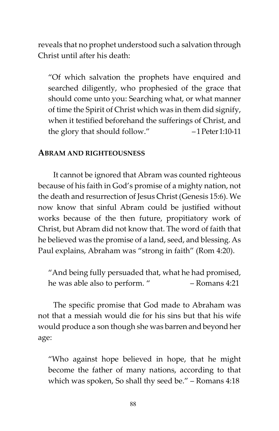reveals that no prophet understood such a salvation through Christ until after his death:

"Of which salvation the prophets have enquired and searched diligently, who prophesied of the grace that should come unto you: Searching what, or what manner of time the Spirit of Christ which was in them did signify, when it testified beforehand the sufferings of Christ, and the glory that should follow." – 1 Peter 1:10-11

#### ABRAM AND RIGHTEOUSNESS

It cannot be ignored that Abram was counted righteous because of his faith in God's promise of a mighty nation, not the death and resurrection of Jesus Christ (Genesis 15:6). We now know that sinful Abram could be justified without works because of the then future, propitiatory work of Christ, but Abram did not know that. The word of faith that he believed was the promise of a land, seed, and blessing. As Paul explains, Abraham was "strong in faith" (Rom 4:20).

"And being fully persuaded that, what he had promised, he was able also to perform. " – Romans 4:21

The specific promise that God made to Abraham was not that a messiah would die for his sins but that his wife would produce a son though she was barren and beyond her age:

"Who against hope believed in hope, that he might become the father of many nations, according to that which was spoken, So shall thy seed be." – Romans 4:18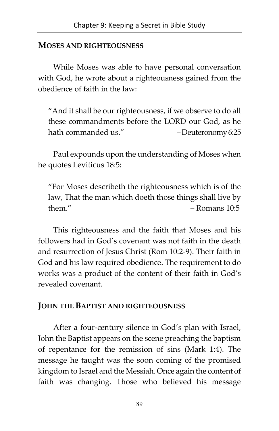#### MOSES AND RIGHTEOUSNESS

While Moses was able to have personal conversation with God, he wrote about a righteousness gained from the obedience of faith in the law:

"And it shall be our righteousness, if we observe to do all these commandments before the LORD our God, as he hath commanded us." – Deuteronomy 6:25

Paul expounds upon the understanding of Moses when he quotes Leviticus 18:5:

"For Moses describeth the righteousness which is of the law, That the man which doeth those things shall live by  $them.$ " – Romans  $10:5$ 

This righteousness and the faith that Moses and his followers had in God's covenant was not faith in the death and resurrection of Jesus Christ (Rom 10:2-9). Their faith in God and his law required obedience. The requirement to do works was a product of the content of their faith in God's revealed covenant.

## JOHN THE BAPTIST AND RIGHTEOUSNESS

After a four-century silence in God's plan with Israel, John the Baptist appears on the scene preaching the baptism of repentance for the remission of sins (Mark 1:4). The message he taught was the soon coming of the promised kingdom to Israel and the Messiah. Once again the content of faith was changing. Those who believed his message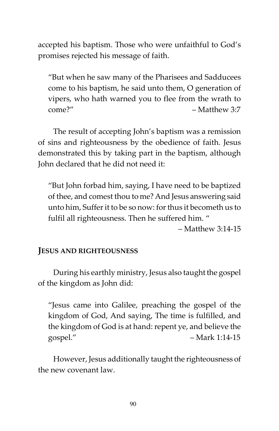accepted his baptism. Those who were unfaithful to God's promises rejected his message of faith.

"But when he saw many of the Pharisees and Sadducees come to his baptism, he said unto them, O generation of vipers, who hath warned you to flee from the wrath to come?" – Matthew 3:7

The result of accepting John's baptism was a remission of sins and righteousness by the obedience of faith. Jesus demonstrated this by taking part in the baptism, although John declared that he did not need it:

"But John forbad him, saying, I have need to be baptized of thee, and comest thou to me? And Jesus answering said unto him, Suffer it to be so now: for thus it becometh us to fulfil all righteousness. Then he suffered him. "

 $-$  Matthew 3:14-15

## JESUS AND RIGHTEOUSNESS

During his earthly ministry, Jesus also taught the gospel of the kingdom as John did:

"Jesus came into Galilee, preaching the gospel of the kingdom of God, And saying, The time is fulfilled, and the kingdom of God is at hand: repent ye, and believe the gospel." – Mark 1:14-15

However, Jesus additionally taught the righteousness of the new covenant law.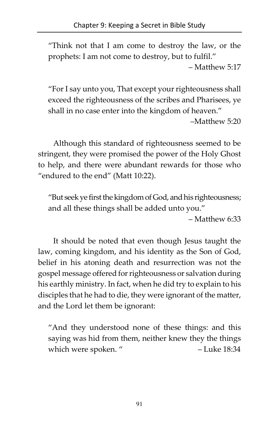"Think not that I am come to destroy the law, or the prophets: I am not come to destroy, but to fulfil."

– Matthew 5:17

"For I say unto you, That except your righteousness shall exceed the righteousness of the scribes and Pharisees, ye shall in no case enter into the kingdom of heaven."

–Matthew 5:20

Although this standard of righteousness seemed to be stringent, they were promised the power of the Holy Ghost to help, and there were abundant rewards for those who "endured to the end" (Matt 10:22).

"But seek ye first the kingdom of God, and his righteousness; and all these things shall be added unto you."

– Matthew 6:33

It should be noted that even though Jesus taught the law, coming kingdom, and his identity as the Son of God, belief in his atoning death and resurrection was not the gospel message offered for righteousness or salvation during his earthly ministry. In fact, when he did try to explain to his disciples that he had to die, they were ignorant of the matter, and the Lord let them be ignorant:

"And they understood none of these things: and this saying was hid from them, neither knew they the things which were spoken. " – Luke 18:34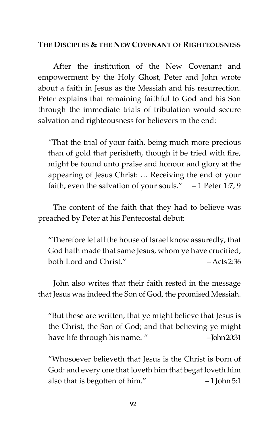#### THE DISCIPLES & THE NEW COVENANT OF RIGHTEOUSNESS

After the institution of the New Covenant and empowerment by the Holy Ghost, Peter and John wrote about a faith in Jesus as the Messiah and his resurrection. Peter explains that remaining faithful to God and his Son through the immediate trials of tribulation would secure salvation and righteousness for believers in the end:

"That the trial of your faith, being much more precious than of gold that perisheth, though it be tried with fire, might be found unto praise and honour and glory at the appearing of Jesus Christ: … Receiving the end of your faith, even the salvation of your souls."  $-1$  Peter 1:7, 9

The content of the faith that they had to believe was preached by Peter at his Pentecostal debut:

"Therefore let all the house of Israel know assuredly, that God hath made that same Jesus, whom ye have crucified, both Lord and Christ." – Acts 2:36

John also writes that their faith rested in the message that Jesus was indeed the Son of God, the promised Messiah.

"But these are written, that ye might believe that Jesus is the Christ, the Son of God; and that believing ye might have life through his name. " - John 20:31

"Whosoever believeth that Jesus is the Christ is born of God: and every one that loveth him that begat loveth him also that is begotten of him." -1 John 5:1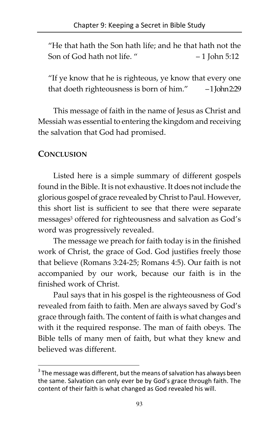"He that hath the Son hath life; and he that hath not the Son of God hath not life. " – 1 John 5:12

"If ye know that he is righteous, ye know that every one that doeth righteousness is born of him." – 1 John 2:29

This message of faith in the name of Jesus as Christ and Messiah was essential to entering the kingdom and receiving the salvation that God had promised.

# **CONCLUSION**

 $\overline{a}$ 

Listed here is a simple summary of different gospels found in the Bible. It is not exhaustive. It does not include the glorious gospel of grace revealed by Christ to Paul. However, this short list is sufficient to see that there were separate messages<sup>3</sup> offered for righteousness and salvation as God's word was progressively revealed.

The message we preach for faith today is in the finished work of Christ, the grace of God. God justifies freely those that believe (Romans 3:24-25; Romans 4:5). Our faith is not accompanied by our work, because our faith is in the finished work of Christ.

Paul says that in his gospel is the righteousness of God revealed from faith to faith. Men are always saved by God's grace through faith. The content of faith is what changes and with it the required response. The man of faith obeys. The Bible tells of many men of faith, but what they knew and believed was different.

 $3$  The message was different, but the means of salvation has always been the same. Salvation can only ever be by God's grace through faith. The content of their faith is what changed as God revealed his will.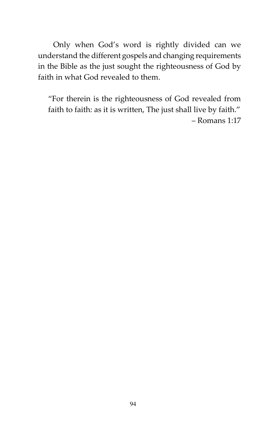Only when God's word is rightly divided can we understand the different gospels and changing requirements in the Bible as the just sought the righteousness of God by faith in what God revealed to them.

"For therein is the righteousness of God revealed from faith to faith: as it is written, The just shall live by faith." – Romans 1:17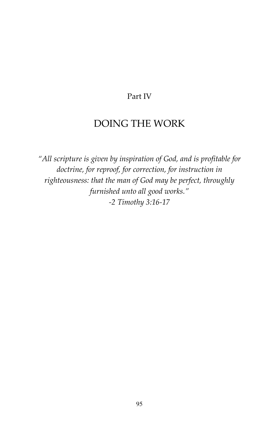#### Part IV

# DOING THE WORK

"All scripture is given by inspiration of God, and is profitable for doctrine, for reproof, for correction, for instruction in righteousness: that the man of God may be perfect, throughly furnished unto all good works." -2 Timothy 3:16-17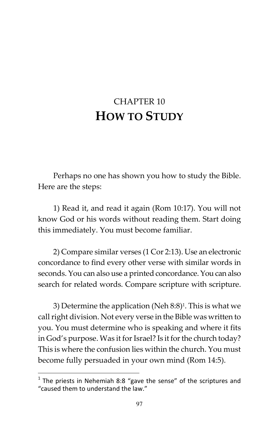# CHAPTER 10 HOW TO STUDY

Perhaps no one has shown you how to study the Bible. Here are the steps:

1) Read it, and read it again (Rom 10:17). You will not know God or his words without reading them. Start doing this immediately. You must become familiar.

2) Compare similar verses (1 Cor 2:13). Use an electronic concordance to find every other verse with similar words in seconds. You can also use a printed concordance. You can also search for related words. Compare scripture with scripture.

3) Determine the application (Neh 8:8)<sup>1</sup> . This is what we call right division. Not every verse in the Bible was written to you. You must determine who is speaking and where it fits in God's purpose. Was it for Israel? Is it for the church today? This is where the confusion lies within the church. You must become fully persuaded in your own mind (Rom 14:5).

 1 The priests in Nehemiah 8:8 "gave the sense" of the scriptures and "caused them to understand the law."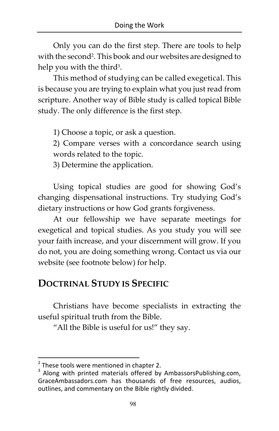Only you can do the first step. There are tools to help with the second<sup>2</sup>. This book and our websites are designed to help you with the third<sup>3</sup>.

This method of studying can be called exegetical. This is because you are trying to explain what you just read from scripture. Another way of Bible study is called topical Bible study. The only difference is the first step.

1) Choose a topic, or ask a question.

2) Compare verses with a concordance search using words related to the topic.

3) Determine the application.

Using topical studies are good for showing God's changing dispensational instructions. Try studying God's dietary instructions or how God grants forgiveness.

At our fellowship we have separate meetings for exegetical and topical studies. As you study you will see your faith increase, and your discernment will grow. If you do not, you are doing something wrong. Contact us via our website (see footnote below) for help.

# DOCTRINAL STUDY IS SPECIFIC

Christians have become specialists in extracting the useful spiritual truth from the Bible.

"All the Bible is useful for us!" they say.

<u>.</u>

<sup>&</sup>lt;sup>2</sup> These tools were mentioned in chapter 2.<br><sup>3</sup> Along with printed materials offered by

Along with printed materials offered by [AmbassorsPublishing.com,](http://www.ambassadorspublishing.com) [GraceAmbassadors.com](http://www.graceambassadors.com) has thousands of free resources, audios, outlines, and commentary on the Bible rightly divided.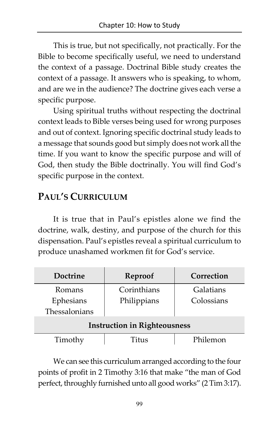This is true, but not specifically, not practically. For the Bible to become specifically useful, we need to understand the context of a passage. Doctrinal Bible study creates the context of a passage. It answers who is speaking, to whom, and are we in the audience? The doctrine gives each verse a specific purpose.

Using spiritual truths without respecting the doctrinal context leads to Bible verses being used for wrong purposes and out of context. Ignoring specific doctrinal study leads to a message that sounds good but simply does not work all the time. If you want to know the specific purpose and will of God, then study the Bible doctrinally. You will find God's specific purpose in the context.

# PAUL'S CURRICULUM

It is true that in Paul's epistles alone we find the doctrine, walk, destiny, and purpose of the church for this dispensation. Paul's epistles reveal a spiritual curriculum to produce unashamed workmen fit for God's service.

| <b>Doctrine</b>                     | Reproof     | Correction |
|-------------------------------------|-------------|------------|
| Romans                              | Corinthians | Galatians  |
| Ephesians                           | Philippians | Colossians |
| Thessalonians                       |             |            |
| <b>Instruction in Righteousness</b> |             |            |
| Timothy                             | Titus       | Philemon   |

We can see this curriculum arranged according to the four points of profit in 2 Timothy 3:16 that make "the man of God perfect, throughly furnished unto all good works" (2 Tim 3:17).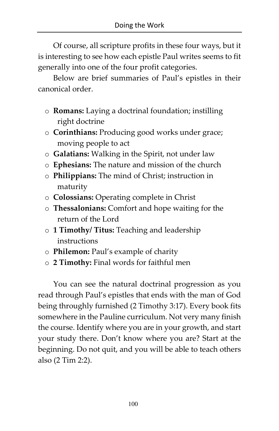Of course, all scripture profits in these four ways, but it is interesting to see how each epistle Paul writes seems to fit generally into one of the four profit categories.

Below are brief summaries of Paul's epistles in their canonical order.

- o Romans: Laying a doctrinal foundation; instilling right doctrine
- o Corinthians: Producing good works under grace; moving people to act
- o Galatians: Walking in the Spirit, not under law
- o Ephesians: The nature and mission of the church
- o Philippians: The mind of Christ; instruction in maturity
- o Colossians: Operating complete in Christ
- o Thessalonians: Comfort and hope waiting for the return of the Lord
- o 1 Timothy/ Titus: Teaching and leadership instructions
- o Philemon: Paul's example of charity
- o 2 Timothy: Final words for faithful men

You can see the natural doctrinal progression as you read through Paul's epistles that ends with the man of God being throughly furnished (2 Timothy 3:17). Every book fits somewhere in the Pauline curriculum. Not very many finish the course. Identify where you are in your growth, and start your study there. Don't know where you are? Start at the beginning. Do not quit, and you will be able to teach others also (2 Tim 2:2).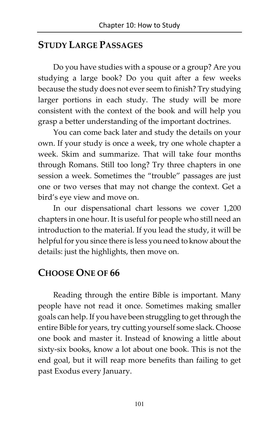# STUDY LARGE PASSAGES

Do you have studies with a spouse or a group? Are you studying a large book? Do you quit after a few weeks because the study does not ever seem to finish? Try studying larger portions in each study. The study will be more consistent with the context of the book and will help you grasp a better understanding of the important doctrines.

You can come back later and study the details on your own. If your study is once a week, try one whole chapter a week. Skim and summarize. That will take four months through Romans. Still too long? Try three chapters in one session a week. Sometimes the "trouble" passages are just one or two verses that may not change the context. Get a bird's eye view and move on.

In our dispensational chart lessons we cover 1,200 chapters in one hour. It is useful for people who still need an introduction to the material. If you lead the study, it will be helpful for you since there is less you need to know about the details: just the highlights, then move on.

# CHOOSE ONE OF 66

Reading through the entire Bible is important. Many people have not read it once. Sometimes making smaller goals can help. If you have been struggling to get through the entire Bible for years, try cutting yourself some slack. Choose one book and master it. Instead of knowing a little about sixty-six books, know a lot about one book. This is not the end goal, but it will reap more benefits than failing to get past Exodus every January.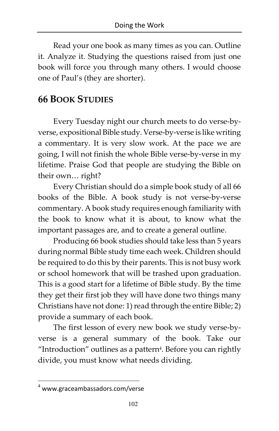Read your one book as many times as you can. Outline it. Analyze it. Studying the questions raised from just one book will force you through many others. I would choose one of Paul's (they are shorter).

# 66 BOOK STUDIES

Every Tuesday night our church meets to do verse-byverse, expositional Bible study. Verse-by-verse is like writing a commentary. It is very slow work. At the pace we are going, I will not finish the whole Bible verse-by-verse in my lifetime. Praise God that people are studying the Bible on their own… right?

Every Christian should do a simple book study of all 66 books of the Bible. A book study is not verse-by-verse commentary. A book study requires enough familiarity with the book to know what it is about, to know what the important passages are, and to create a general outline.

Producing 66 book studies should take less than 5 years during normal Bible study time each week. Children should be required to do this by their parents. This is not busy work or school homework that will be trashed upon graduation. This is a good start for a lifetime of Bible study. By the time they get their first job they will have done two things many Christians have not done: 1) read through the entire Bible; 2) provide a summary of each book.

The first lesson of every new book we study verse-byverse is a general summary of the book. Take our "Introduction" outlines as a pattern $4$ . Before you can rightly divide, you must know what needs dividing.

 $\overline{a}$ 

<sup>4</sup> [www.graceambassadors.com/verse](http://www.graceambassadors.com/verse)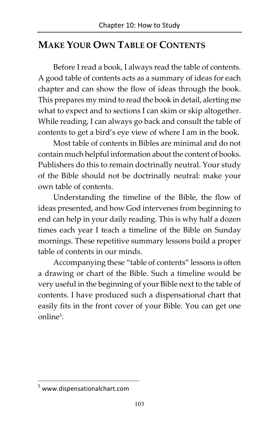# MAKE YOUR OWN TABLE OF CONTENTS

Before I read a book, I always read the table of contents. A good table of contents acts as a summary of ideas for each chapter and can show the flow of ideas through the book. This prepares my mind to read the book in detail, alerting me what to expect and to sections I can skim or skip altogether. While reading, I can always go back and consult the table of contents to get a bird's eye view of where I am in the book.

Most table of contents in Bibles are minimal and do not contain much helpful information about the content of books. Publishers do this to remain doctrinally neutral. Your study of the Bible should not be doctrinally neutral: make your own table of contents.

Understanding the timeline of the Bible, the flow of ideas presented, and how God intervenes from beginning to end can help in your daily reading. This is why half a dozen times each year I teach a timeline of the Bible on Sunday mornings. These repetitive summary lessons build a proper table of contents in our minds.

Accompanying these "table of contents" lessons is often a drawing or chart of the Bible. Such a timeline would be very useful in the beginning of your Bible next to the table of contents. I have produced such a dispensational chart that easily fits in the front cover of your Bible. You can get one online<sup>5</sup> .

<u>.</u>

<sup>5</sup> [www.dispensationalchart.com](http://www.dispensationalchart.com)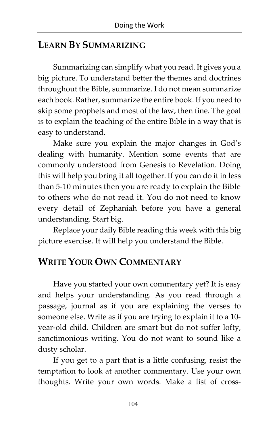### LEARN BY SUMMARIZING

Summarizing can simplify what you read. It gives you a big picture. To understand better the themes and doctrines throughout the Bible, summarize. I do not mean summarize each book. Rather, summarize the entire book. If you need to skip some prophets and most of the law, then fine. The goal is to explain the teaching of the entire Bible in a way that is easy to understand.

Make sure you explain the major changes in God's dealing with humanity. Mention some events that are commonly understood from Genesis to Revelation. Doing this will help you bring it all together. If you can do it in less than 5-10 minutes then you are ready to explain the Bible to others who do not read it. You do not need to know every detail of Zephaniah before you have a general understanding. Start big.

Replace your daily Bible reading this week with this big picture exercise. It will help you understand the Bible.

### WRITE YOUR OWN COMMENTARY

Have you started your own commentary yet? It is easy and helps your understanding. As you read through a passage, journal as if you are explaining the verses to someone else. Write as if you are trying to explain it to a 10 year-old child. Children are smart but do not suffer lofty, sanctimonious writing. You do not want to sound like a dusty scholar.

If you get to a part that is a little confusing, resist the temptation to look at another commentary. Use your own thoughts. Write your own words. Make a list of cross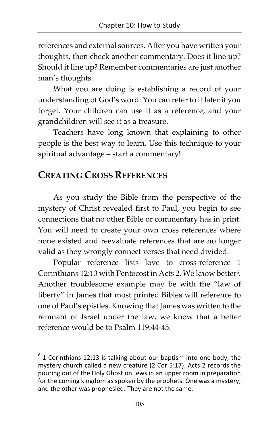references and external sources. After you have written your thoughts, then check another commentary. Does it line up? Should it line up? Remember commentaries are just another man's thoughts.

What you are doing is establishing a record of your understanding of God's word. You can refer to it later if you forget. Your children can use it as a reference, and your grandchildren will see it as a treasure.

Teachers have long known that explaining to other people is the best way to learn. Use this technique to your spiritual advantage – start a commentary!

# CREATING CROSS REFERENCES

-

As you study the Bible from the perspective of the mystery of Christ revealed first to Paul, you begin to see connections that no other Bible or commentary has in print. You will need to create your own cross references where none existed and reevaluate references that are no longer valid as they wrongly connect verses that need divided.

Popular reference lists love to cross-reference 1 Corinthians 12:13 with Pentecost in Acts 2. We know better<sup>6</sup> . Another troublesome example may be with the "law of liberty" in James that most printed Bibles will reference to one of Paul's epistles. Knowing that James was written to the remnant of Israel under the law, we know that a better reference would be to Psalm 119:44-45.

 $6$  1 Corinthians 12:13 is talking about our baptism into one body, the mystery church called a new creature (2 Cor 5:17). Acts 2 records the pouring out of the Holy Ghost on Jews in an upper room in preparation for the coming kingdom as spoken by the prophets. One was a mystery, and the other was prophesied. They are not the same.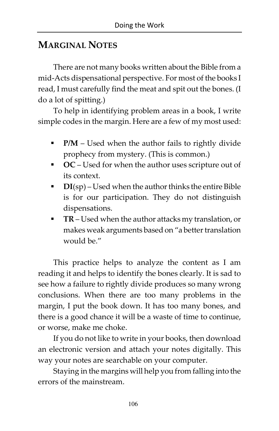# MARGINAL NOTES

There are not many books written about the Bible from a mid-Acts dispensational perspective. For most of the books I read, I must carefully find the meat and spit out the bones. (I do a lot of spitting.)

To help in identifying problem areas in a book, I write simple codes in the margin. Here are a few of my most used:

- **P/M** Used when the author fails to rightly divide prophecy from mystery. (This is common.)
- OC Used for when the author uses scripture out of its context.
- $\blacksquare$  DI(sp) Used when the author thinks the entire Bible is for our participation. They do not distinguish dispensations.
- TR Used when the author attacks my translation, or makes weak arguments based on "a better translation would be."

This practice helps to analyze the content as I am reading it and helps to identify the bones clearly. It is sad to see how a failure to rightly divide produces so many wrong conclusions. When there are too many problems in the margin, I put the book down. It has too many bones, and there is a good chance it will be a waste of time to continue, or worse, make me choke.

If you do not like to write in your books, then download an electronic version and attach your notes digitally. This way your notes are searchable on your computer.

Staying in the margins will help you from falling into the errors of the mainstream.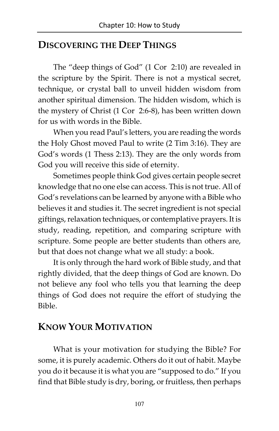#### DISCOVERING THE DEEP THINGS

The "deep things of God" (1 Cor 2:10) are revealed in the scripture by the Spirit. There is not a mystical secret, technique, or crystal ball to unveil hidden wisdom from another spiritual dimension. The hidden wisdom, which is the mystery of Christ (1 Cor 2:6-8), has been written down for us with words in the Bible.

When you read Paul's letters, you are reading the words the Holy Ghost moved Paul to write (2 Tim 3:16). They are God's words (1 Thess 2:13). They are the only words from God you will receive this side of eternity.

Sometimes people think God gives certain people secret knowledge that no one else can access. This is not true. All of God's revelations can be learned by anyone with a Bible who believes it and studies it. The secret ingredient is not special giftings, relaxation techniques, or contemplative prayers. It is study, reading, repetition, and comparing scripture with scripture. Some people are better students than others are, but that does not change what we all study: a book.

It is only through the hard work of Bible study, and that rightly divided, that the deep things of God are known. Do not believe any fool who tells you that learning the deep things of God does not require the effort of studying the Bible.

#### KNOW YOUR MOTIVATION

What is your motivation for studying the Bible? For some, it is purely academic. Others do it out of habit. Maybe you do it because it is what you are "supposed to do." If you find that Bible study is dry, boring, or fruitless, then perhaps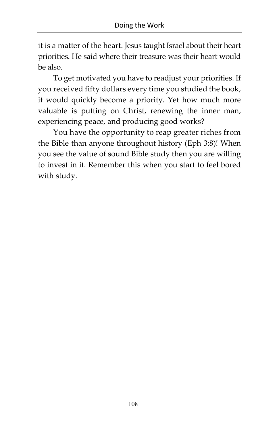it is a matter of the heart. Jesus taught Israel about their heart priorities. He said where their treasure was their heart would be also.

To get motivated you have to readjust your priorities. If you received fifty dollars every time you studied the book, it would quickly become a priority. Yet how much more valuable is putting on Christ, renewing the inner man, experiencing peace, and producing good works?

You have the opportunity to reap greater riches from the Bible than anyone throughout history (Eph 3:8)! When you see the value of sound Bible study then you are willing to invest in it. Remember this when you start to feel bored with study.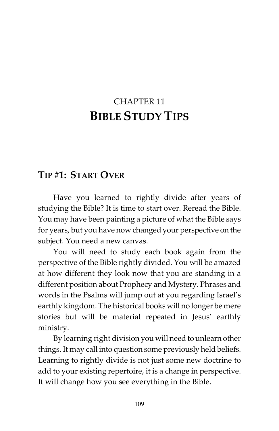# CHAPTER 11 BIBLE STUDY TIPS

#### TIP #1: START OVER

Have you learned to rightly divide after years of studying the Bible? It is time to start over. Reread the Bible. You may have been painting a picture of what the Bible says for years, but you have now changed your perspective on the subject. You need a new canvas.

You will need to study each book again from the perspective of the Bible rightly divided. You will be amazed at how different they look now that you are standing in a different position about Prophecy and Mystery. Phrases and words in the Psalms will jump out at you regarding Israel's earthly kingdom. The historical books will no longer be mere stories but will be material repeated in Jesus' earthly ministry.

By learning right division you will need to unlearn other things. It may call into question some previously held beliefs. Learning to rightly divide is not just some new doctrine to add to your existing repertoire, it is a change in perspective. It will change how you see everything in the Bible.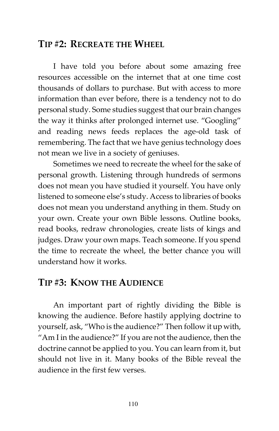#### TIP #2: RECREATE THE WHEEL

I have told you before about some amazing free resources accessible on the internet that at one time cost thousands of dollars to purchase. But with access to more information than ever before, there is a tendency not to do personal study. Some studies suggest that our brain changes the way it thinks after prolonged internet use. "Googling" and reading news feeds replaces the age-old task of remembering. The fact that we have genius technology does not mean we live in a society of geniuses.

Sometimes we need to recreate the wheel for the sake of personal growth. Listening through hundreds of sermons does not mean you have studied it yourself. You have only listened to someone else's study. Access to libraries of books does not mean you understand anything in them. Study on your own. Create your own Bible lessons. Outline books, read books, redraw chronologies, create lists of kings and judges. Draw your own maps. Teach someone. If you spend the time to recreate the wheel, the better chance you will understand how it works.

### TIP #3: KNOW THE AUDIENCE

An important part of rightly dividing the Bible is knowing the audience. Before hastily applying doctrine to yourself, ask, "Who is the audience?" Then follow it up with, "Am I in the audience?" If you are not the audience, then the doctrine cannot be applied to you. You can learn from it, but should not live in it. Many books of the Bible reveal the audience in the first few verses.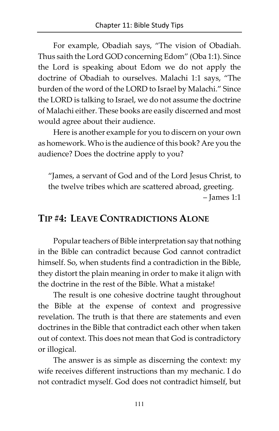For example, Obadiah says, "The vision of Obadiah. Thus saith the Lord GOD concerning Edom" (Oba 1:1). Since the Lord is speaking about Edom we do not apply the doctrine of Obadiah to ourselves. Malachi 1:1 says, "The burden of the word of the LORD to Israel by Malachi." Since the LORD is talking to Israel, we do not assume the doctrine of Malachi either. These books are easily discerned and most would agree about their audience.

Here is another example for you to discern on your own as homework. Who is the audience of this book? Are you the audience? Does the doctrine apply to you?

"James, a servant of God and of the Lord Jesus Christ, to the twelve tribes which are scattered abroad, greeting. – James 1:1

#### TIP #4: LEAVE CONTRADICTIONS ALONE

Popular teachers of Bible interpretation say that nothing in the Bible can contradict because God cannot contradict himself. So, when students find a contradiction in the Bible, they distort the plain meaning in order to make it align with the doctrine in the rest of the Bible. What a mistake!

The result is one cohesive doctrine taught throughout the Bible at the expense of context and progressive revelation. The truth is that there are statements and even doctrines in the Bible that contradict each other when taken out of context. This does not mean that God is contradictory or illogical.

The answer is as simple as discerning the context: my wife receives different instructions than my mechanic. I do not contradict myself. God does not contradict himself, but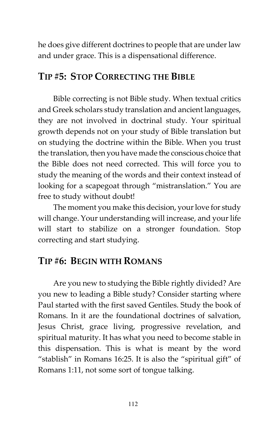he does give different doctrines to people that are under law and under grace. This is a dispensational difference.

#### TIP #5: STOP CORRECTING THE BIBLE

Bible correcting is not Bible study. When textual critics and Greek scholars study translation and ancient languages, they are not involved in doctrinal study. Your spiritual growth depends not on your study of Bible translation but on studying the doctrine within the Bible. When you trust the translation, then you have made the conscious choice that the Bible does not need corrected. This will force you to study the meaning of the words and their context instead of looking for a scapegoat through "mistranslation." You are free to study without doubt!

The moment you make this decision, your love for study will change. Your understanding will increase, and your life will start to stabilize on a stronger foundation. Stop correcting and start studying.

# TIP #6: BEGIN WITH ROMANS

Are you new to studying the Bible rightly divided? Are you new to leading a Bible study? Consider starting where Paul started with the first saved Gentiles. Study the book of Romans. In it are the foundational doctrines of salvation, Jesus Christ, grace living, progressive revelation, and spiritual maturity. It has what you need to become stable in this dispensation. This is what is meant by the word "stablish" in Romans 16:25. It is also the "spiritual gift" of Romans 1:11, not some sort of tongue talking.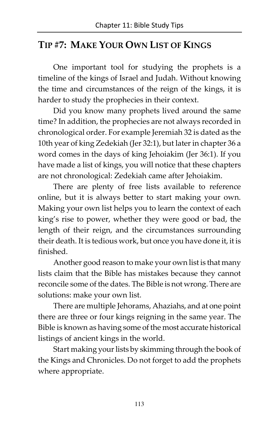# TIP #7: MAKE YOUR OWN LIST OF KINGS

One important tool for studying the prophets is a timeline of the kings of Israel and Judah. Without knowing the time and circumstances of the reign of the kings, it is harder to study the prophecies in their context.

Did you know many prophets lived around the same time? In addition, the prophecies are not always recorded in chronological order. For example Jeremiah 32 is dated as the 10th year of king Zedekiah (Jer 32:1), but later in chapter 36 a word comes in the days of king Jehoiakim (Jer 36:1). If you have made a list of kings, you will notice that these chapters are not chronological: Zedekiah came after Jehoiakim.

There are plenty of free lists available to reference online, but it is always better to start making your own. Making your own list helps you to learn the context of each king's rise to power, whether they were good or bad, the length of their reign, and the circumstances surrounding their death. It is tedious work, but once you have done it, it is finished.

Another good reason to make your own list is that many lists claim that the Bible has mistakes because they cannot reconcile some of the dates. The Bible is not wrong. There are solutions: make your own list.

There are multiple Jehorams, Ahaziahs, and at one point there are three or four kings reigning in the same year. The Bible is known as having some of the most accurate historical listings of ancient kings in the world.

Start making your lists by skimming through the book of the Kings and Chronicles. Do not forget to add the prophets where appropriate.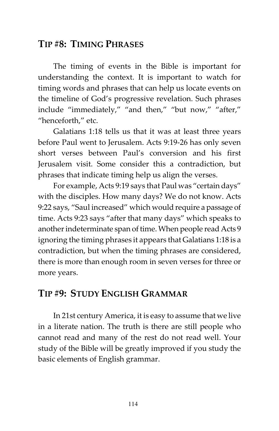### TIP #8: TIMING PHRASES

The timing of events in the Bible is important for understanding the context. It is important to watch for timing words and phrases that can help us locate events on the timeline of God's progressive revelation. Such phrases include "immediately," "and then," "but now," "after," "henceforth," etc.

Galatians 1:18 tells us that it was at least three years before Paul went to Jerusalem. Acts 9:19-26 has only seven short verses between Paul's conversion and his first Jerusalem visit. Some consider this a contradiction, but phrases that indicate timing help us align the verses.

For example, Acts 9:19 says that Paul was "certain days" with the disciples. How many days? We do not know. Acts 9:22 says, "Saul increased" which would require a passage of time. Acts 9:23 says "after that many days" which speaks to another indeterminate span of time. When people read Acts 9 ignoring the timing phrases it appears that Galatians 1:18 is a contradiction, but when the timing phrases are considered, there is more than enough room in seven verses for three or more years.

# TIP #9: STUDY ENGLISH GRAMMAR

In 21st century America, it is easy to assume that we live in a literate nation. The truth is there are still people who cannot read and many of the rest do not read well. Your study of the Bible will be greatly improved if you study the basic elements of English grammar.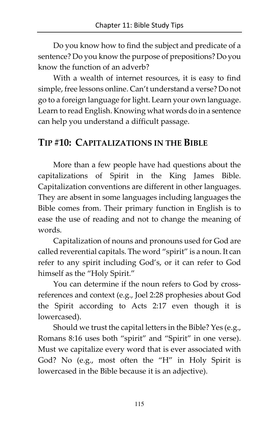Do you know how to find the subject and predicate of a sentence? Do you know the purpose of prepositions? Do you know the function of an adverb?

With a wealth of internet resources, it is easy to find simple, free lessons online. Can't understand a verse? Do not go to a foreign language for light. Learn your own language. Learn to read English. Knowing what words do in a sentence can help you understand a difficult passage.

#### TIP #10: CAPITALIZATIONS IN THE BIBLE

More than a few people have had questions about the capitalizations of Spirit in the King James Bible. Capitalization conventions are different in other languages. They are absent in some languages including languages the Bible comes from. Their primary function in English is to ease the use of reading and not to change the meaning of words.

Capitalization of nouns and pronouns used for God are called reverential capitals. The word "spirit" is a noun. It can refer to any spirit including God's, or it can refer to God himself as the "Holy Spirit."

You can determine if the noun refers to God by crossreferences and context (e.g., Joel 2:28 prophesies about God the Spirit according to Acts 2:17 even though it is lowercased).

Should we trust the capital letters in the Bible? Yes (e.g., Romans 8:16 uses both "spirit" and "Spirit" in one verse). Must we capitalize every word that is ever associated with God? No (e.g., most often the "H" in Holy Spirit is lowercased in the Bible because it is an adjective).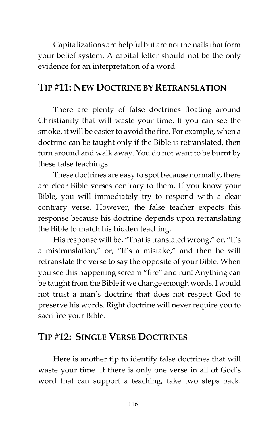Capitalizations are helpful but are not the nails that form your belief system. A capital letter should not be the only evidence for an interpretation of a word.

### TIP #11: NEW DOCTRINE BY RETRANSLATION

There are plenty of false doctrines floating around Christianity that will waste your time. If you can see the smoke, it will be easier to avoid the fire. For example, when a doctrine can be taught only if the Bible is retranslated, then turn around and walk away. You do not want to be burnt by these false teachings.

These doctrines are easy to spot because normally, there are clear Bible verses contrary to them. If you know your Bible, you will immediately try to respond with a clear contrary verse. However, the false teacher expects this response because his doctrine depends upon retranslating the Bible to match his hidden teaching.

His response will be, "That is translated wrong," or, "It's a mistranslation," or, "It's a mistake," and then he will retranslate the verse to say the opposite of your Bible. When you see this happening scream "fire" and run! Anything can be taught from the Bible if we change enough words. I would not trust a man's doctrine that does not respect God to preserve his words. Right doctrine will never require you to sacrifice your Bible.

### TIP #12: SINGLE VERSE DOCTRINES

Here is another tip to identify false doctrines that will waste your time. If there is only one verse in all of God's word that can support a teaching, take two steps back.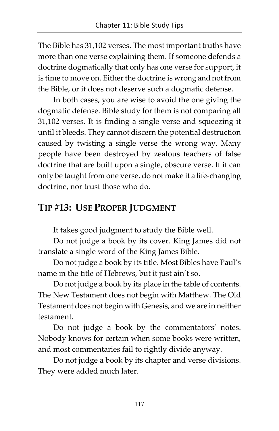The Bible has 31,102 verses. The most important truths have more than one verse explaining them. If someone defends a doctrine dogmatically that only has one verse for support, it is time to move on. Either the doctrine is wrong and not from the Bible, or it does not deserve such a dogmatic defense.

In both cases, you are wise to avoid the one giving the dogmatic defense. Bible study for them is not comparing all 31,102 verses. It is finding a single verse and squeezing it until it bleeds. They cannot discern the potential destruction caused by twisting a single verse the wrong way. Many people have been destroyed by zealous teachers of false doctrine that are built upon a single, obscure verse. If it can only be taught from one verse, do not make it a life-changing doctrine, nor trust those who do.

# TIP #13: USE PROPER JUDGMENT

It takes good judgment to study the Bible well.

Do not judge a book by its cover. King James did not translate a single word of the King James Bible.

Do not judge a book by its title. Most Bibles have Paul's name in the title of Hebrews, but it just ain't so.

Do not judge a book by its place in the table of contents. The New Testament does not begin with Matthew. The Old Testament does not begin with Genesis, and we are in neither testament.

Do not judge a book by the commentators' notes. Nobody knows for certain when some books were written, and most commentaries fail to rightly divide anyway.

Do not judge a book by its chapter and verse divisions. They were added much later.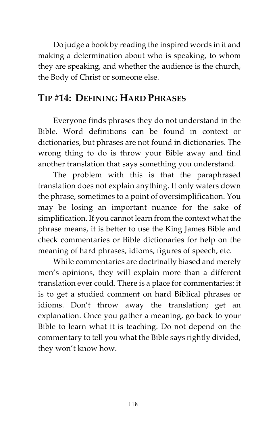Do judge a book by reading the inspired words in it and making a determination about who is speaking, to whom they are speaking, and whether the audience is the church, the Body of Christ or someone else.

#### TIP #14: DEFINING HARD PHRASES

Everyone finds phrases they do not understand in the Bible. Word definitions can be found in context or dictionaries, but phrases are not found in dictionaries. The wrong thing to do is throw your Bible away and find another translation that says something you understand.

The problem with this is that the paraphrased translation does not explain anything. It only waters down the phrase, sometimes to a point of oversimplification. You may be losing an important nuance for the sake of simplification. If you cannot learn from the context what the phrase means, it is better to use the King James Bible and check commentaries or Bible dictionaries for help on the meaning of hard phrases, idioms, figures of speech, etc.

While commentaries are doctrinally biased and merely men's opinions, they will explain more than a different translation ever could. There is a place for commentaries: it is to get a studied comment on hard Biblical phrases or idioms. Don't throw away the translation; get an explanation. Once you gather a meaning, go back to your Bible to learn what it is teaching. Do not depend on the commentary to tell you what the Bible says rightly divided, they won't know how.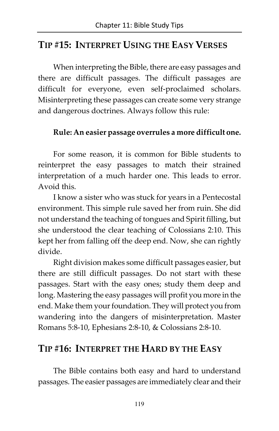#### TIP #15: INTERPRET USING THE EASY VERSES

When interpreting the Bible, there are easy passages and there are difficult passages. The difficult passages are difficult for everyone, even self-proclaimed scholars. Misinterpreting these passages can create some very strange and dangerous doctrines. Always follow this rule:

#### Rule: An easier passage overrules a more difficult one.

For some reason, it is common for Bible students to reinterpret the easy passages to match their strained interpretation of a much harder one. This leads to error. Avoid this.

I know a sister who was stuck for years in a Pentecostal environment. This simple rule saved her from ruin. She did not understand the teaching of tongues and Spirit filling, but she understood the clear teaching of Colossians 2:10. This kept her from falling off the deep end. Now, she can rightly divide.

Right division makes some difficult passages easier, but there are still difficult passages. Do not start with these passages. Start with the easy ones; study them deep and long. Mastering the easy passages will profit you more in the end. Make them your foundation. They will protect you from wandering into the dangers of misinterpretation. Master Romans 5:8-10, Ephesians 2:8-10, & Colossians 2:8-10.

#### TIP #16: INTERPRET THE HARD BY THE EASY

The Bible contains both easy and hard to understand passages. The easier passages are immediately clear and their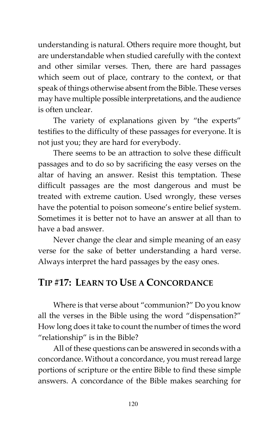understanding is natural. Others require more thought, but are understandable when studied carefully with the context and other similar verses. Then, there are hard passages which seem out of place, contrary to the context, or that speak of things otherwise absent from the Bible. These verses may have multiple possible interpretations, and the audience is often unclear.

The variety of explanations given by "the experts" testifies to the difficulty of these passages for everyone. It is not just you; they are hard for everybody.

There seems to be an attraction to solve these difficult passages and to do so by sacrificing the easy verses on the altar of having an answer. Resist this temptation. These difficult passages are the most dangerous and must be treated with extreme caution. Used wrongly, these verses have the potential to poison someone's entire belief system. Sometimes it is better not to have an answer at all than to have a bad answer.

Never change the clear and simple meaning of an easy verse for the sake of better understanding a hard verse. Always interpret the hard passages by the easy ones.

### TIP #17: LEARN TO USE A CONCORDANCE

Where is that verse about "communion?" Do you know all the verses in the Bible using the word "dispensation?" How long does it take to count the number of times the word "relationship" is in the Bible?

All of these questions can be answered in seconds with a concordance. Without a concordance, you must reread large portions of scripture or the entire Bible to find these simple answers. A concordance of the Bible makes searching for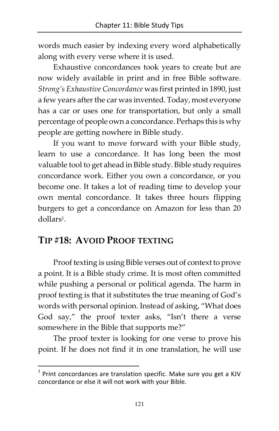words much easier by indexing every word alphabetically along with every verse where it is used.

Exhaustive concordances took years to create but are now widely available in print and in free Bible software. Strong's Exhaustive Concordance was first printed in 1890, just a few years after the car was invented. Today, most everyone has a car or uses one for transportation, but only a small percentage of people own a concordance. Perhaps this is why people are getting nowhere in Bible study.

If you want to move forward with your Bible study, learn to use a concordance. It has long been the most valuable tool to get ahead in Bible study. Bible study requires concordance work. Either you own a concordance, or you become one. It takes a lot of reading time to develop your own mental concordance. It takes three hours flipping burgers to get a concordance on Amazon for less than 20 dollars<sup>1</sup>.

### TIP #18: AVOID PROOF TEXTING

<u>.</u>

Proof texting is using Bible verses out of context to prove a point. It is a Bible study crime. It is most often committed while pushing a personal or political agenda. The harm in proof texting is that it substitutes the true meaning of God's words with personal opinion. Instead of asking, "What does God say," the proof texter asks, "Isn't there a verse somewhere in the Bible that supports me?"

The proof texter is looking for one verse to prove his point. If he does not find it in one translation, he will use

 $<sup>1</sup>$  Print concordances are translation specific. Make sure you get a KJV</sup> concordance or else it will not work with your Bible.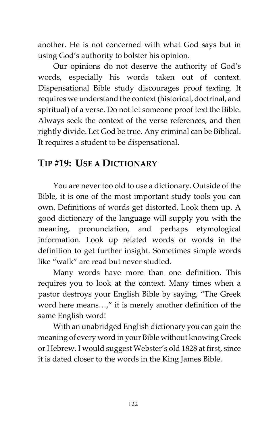another. He is not concerned with what God says but in using God's authority to bolster his opinion.

Our opinions do not deserve the authority of God's words, especially his words taken out of context. Dispensational Bible study discourages proof texting. It requires we understand the context (historical, doctrinal, and spiritual) of a verse. Do not let someone proof text the Bible. Always seek the context of the verse references, and then rightly divide. Let God be true. Any criminal can be Biblical. It requires a student to be dispensational.

# TIP #19: USE A DICTIONARY

You are never too old to use a dictionary. Outside of the Bible, it is one of the most important study tools you can own. Definitions of words get distorted. Look them up. A good dictionary of the language will supply you with the meaning, pronunciation, and perhaps etymological information. Look up related words or words in the definition to get further insight. Sometimes simple words like "walk" are read but never studied.

Many words have more than one definition. This requires you to look at the context. Many times when a pastor destroys your English Bible by saying, "The Greek word here means…," it is merely another definition of the same English word!

With an unabridged English dictionary you can gain the meaning of every word in your Bible without knowing Greek or Hebrew. I would suggest Webster's old 1828 at first, since it is dated closer to the words in the King James Bible.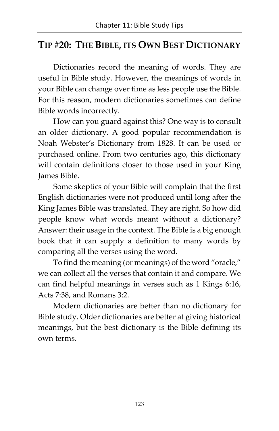#### TIP #20: THE BIBLE, ITS OWN BEST DICTIONARY

Dictionaries record the meaning of words. They are useful in Bible study. However, the meanings of words in your Bible can change over time as less people use the Bible. For this reason, modern dictionaries sometimes can define Bible words incorrectly.

How can you guard against this? One way is to consult an older dictionary. A good popular recommendation is Noah Webster's Dictionary from 1828. It can be used or purchased online. From two centuries ago, this dictionary will contain definitions closer to those used in your King James Bible.

Some skeptics of your Bible will complain that the first English dictionaries were not produced until long after the King James Bible was translated. They are right. So how did people know what words meant without a dictionary? Answer: their usage in the context. The Bible is a big enough book that it can supply a definition to many words by comparing all the verses using the word.

To find the meaning (or meanings) of the word "oracle," we can collect all the verses that contain it and compare. We can find helpful meanings in verses such as 1 Kings 6:16, Acts 7:38, and Romans 3:2.

Modern dictionaries are better than no dictionary for Bible study. Older dictionaries are better at giving historical meanings, but the best dictionary is the Bible defining its own terms.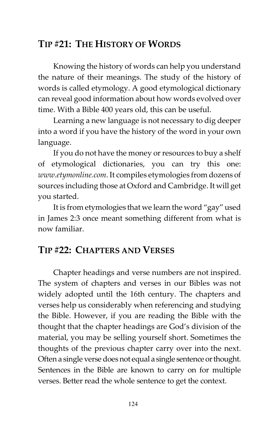### TIP #21: THE HISTORY OF WORDS

Knowing the history of words can help you understand the nature of their meanings. The study of the history of words is called etymology. A good etymological dictionary can reveal good information about how words evolved over time. With a Bible 400 years old, this can be useful.

Learning a new language is not necessary to dig deeper into a word if you have the history of the word in your own language.

If you do not have the money or resources to buy a shelf of etymological dictionaries, you can try this one: [www.etymonline.com](http://www.etymonline.com). It compiles etymologies from dozens of sources including those at Oxford and Cambridge. It will get you started.

It is from etymologies that we learn the word "gay" used in James 2:3 once meant something different from what is now familiar.

# TIP #22: CHAPTERS AND VERSES

Chapter headings and verse numbers are not inspired. The system of chapters and verses in our Bibles was not widely adopted until the 16th century. The chapters and verses help us considerably when referencing and studying the Bible. However, if you are reading the Bible with the thought that the chapter headings are God's division of the material, you may be selling yourself short. Sometimes the thoughts of the previous chapter carry over into the next. Often a single verse does not equal a single sentence or thought. Sentences in the Bible are known to carry on for multiple verses. Better read the whole sentence to get the context.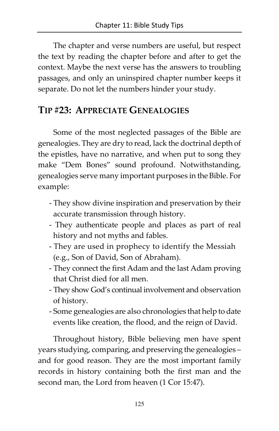The chapter and verse numbers are useful, but respect the text by reading the chapter before and after to get the context. Maybe the next verse has the answers to troubling passages, and only an uninspired chapter number keeps it separate. Do not let the numbers hinder your study.

#### TIP #23: APPRECIATE GENEALOGIES

Some of the most neglected passages of the Bible are genealogies. They are dry to read, lack the doctrinal depth of the epistles, have no narrative, and when put to song they make "Dem Bones" sound profound. Notwithstanding, genealogies serve many important purposes in the Bible. For example:

- They show divine inspiration and preservation by their accurate transmission through history.
- They authenticate people and places as part of real history and not myths and fables.
- They are used in prophecy to identify the Messiah (e.g., Son of David, Son of Abraham).
- They connect the first Adam and the last Adam proving that Christ died for all men.
- They show God's continual involvement and observation of history.
- Some genealogies are also chronologies that help to date events like creation, the flood, and the reign of David.

Throughout history, Bible believing men have spent years studying, comparing, and preserving the genealogies – and for good reason. They are the most important family records in history containing both the first man and the second man, the Lord from heaven (1 Cor 15:47).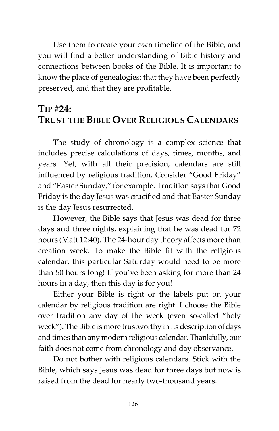Use them to create your own timeline of the Bible, and you will find a better understanding of Bible history and connections between books of the Bible. It is important to know the place of genealogies: that they have been perfectly preserved, and that they are profitable.

### TIP #24: TRUST THE BIBLE OVER RELIGIOUS CALENDARS

The study of chronology is a complex science that includes precise calculations of days, times, months, and years. Yet, with all their precision, calendars are still influenced by religious tradition. Consider "Good Friday" and "Easter Sunday," for example. Tradition says that Good Friday is the day Jesus was crucified and that Easter Sunday is the day Jesus resurrected.

However, the Bible says that Jesus was dead for three days and three nights, explaining that he was dead for 72 hours (Matt 12:40). The 24-hour day theory affects more than creation week. To make the Bible fit with the religious calendar, this particular Saturday would need to be more than 50 hours long! If you've been asking for more than 24 hours in a day, then this day is for you!

Either your Bible is right or the labels put on your calendar by religious tradition are right. I choose the Bible over tradition any day of the week (even so-called "holy week"). The Bible is more trustworthy in its description of days and times than any modern religious calendar. Thankfully, our faith does not come from chronology and day observance.

Do not bother with religious calendars. Stick with the Bible, which says Jesus was dead for three days but now is raised from the dead for nearly two-thousand years.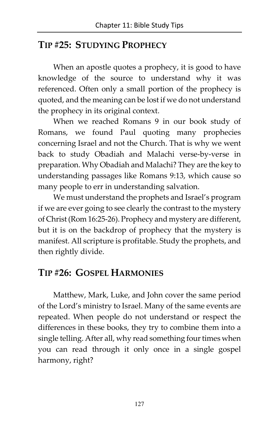#### TIP #25: STUDYING PROPHECY

When an apostle quotes a prophecy, it is good to have knowledge of the source to understand why it was referenced. Often only a small portion of the prophecy is quoted, and the meaning can be lost if we do not understand the prophecy in its original context.

When we reached Romans 9 in our book study of Romans, we found Paul quoting many prophecies concerning Israel and not the Church. That is why we went back to study Obadiah and Malachi verse-by-verse in preparation. Why Obadiah and Malachi? They are the key to understanding passages like Romans 9:13, which cause so many people to err in understanding salvation.

We must understand the prophets and Israel's program if we are ever going to see clearly the contrast to the mystery of Christ (Rom 16:25-26). Prophecy and mystery are different, but it is on the backdrop of prophecy that the mystery is manifest. All scripture is profitable. Study the prophets, and then rightly divide.

### TIP #26: GOSPEL HARMONIES

Matthew, Mark, Luke, and John cover the same period of the Lord's ministry to Israel. Many of the same events are repeated. When people do not understand or respect the differences in these books, they try to combine them into a single telling. After all, why read something four times when you can read through it only once in a single gospel harmony, right?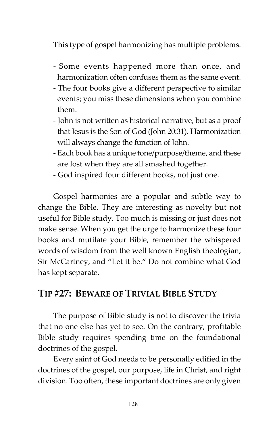This type of gospel harmonizing has multiple problems.

- Some events happened more than once, and harmonization often confuses them as the same event.
- The four books give a different perspective to similar events; you miss these dimensions when you combine them.
- John is not written as historical narrative, but as a proof that Jesus is the Son of God (John 20:31). Harmonization will always change the function of John.
- Each book has a unique tone/purpose/theme, and these are lost when they are all smashed together.
- God inspired four different books, not just one.

Gospel harmonies are a popular and subtle way to change the Bible. They are interesting as novelty but not useful for Bible study. Too much is missing or just does not make sense. When you get the urge to harmonize these four books and mutilate your Bible, remember the whispered words of wisdom from the well known English theologian, Sir McCartney, and "Let it be." Do not combine what God has kept separate.

#### TIP #27: BEWARE OF TRIVIAL BIBLE STUDY

The purpose of Bible study is not to discover the trivia that no one else has yet to see. On the contrary, profitable Bible study requires spending time on the foundational doctrines of the gospel.

Every saint of God needs to be personally edified in the doctrines of the gospel, our purpose, life in Christ, and right division. Too often, these important doctrines are only given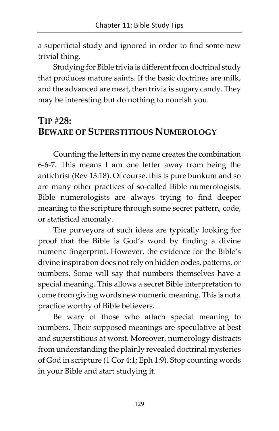a superficial study and ignored in order to find some new trivial thing.

Studying for Bible trivia is different from doctrinal study that produces mature saints. If the basic doctrines are milk, and the advanced are meat, then trivia is sugary candy. They may be interesting but do nothing to nourish you.

### TIP #28: BEWARE OF SUPERSTITIOUS NUMEROLOGY

Counting the letters in my name creates the combination 6-6-7. This means I am one letter away from being the antichrist (Rev 13:18). Of course, this is pure bunkum and so are many other practices of so-called Bible numerologists. Bible numerologists are always trying to find deeper meaning to the scripture through some secret pattern, code, or statistical anomaly.

The purveyors of such ideas are typically looking for proof that the Bible is God's word by finding a divine numeric fingerprint. However, the evidence for the Bible's divine inspiration does not rely on hidden codes, patterns, or numbers. Some will say that numbers themselves have a special meaning. This allows a secret Bible interpretation to come from giving words new numeric meaning. This is not a practice worthy of Bible believers.

Be wary of those who attach special meaning to numbers. Their supposed meanings are speculative at best and superstitious at worst. Moreover, numerology distracts from understanding the plainly revealed doctrinal mysteries of God in scripture (1 Cor 4:1; Eph 1:9). Stop counting words in your Bible and start studying it.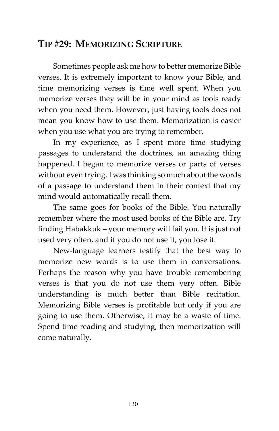### TIP #29: MEMORIZING SCRIPTURE

Sometimes people ask me how to better memorize Bible verses. It is extremely important to know your Bible, and time memorizing verses is time well spent. When you memorize verses they will be in your mind as tools ready when you need them. However, just having tools does not mean you know how to use them. Memorization is easier when you use what you are trying to remember.

In my experience, as I spent more time studying passages to understand the doctrines, an amazing thing happened. I began to memorize verses or parts of verses without even trying. I was thinking so much about the words of a passage to understand them in their context that my mind would automatically recall them.

The same goes for books of the Bible. You naturally remember where the most used books of the Bible are. Try finding Habakkuk – your memory will fail you. It is just not used very often, and if you do not use it, you lose it.

New-language learners testify that the best way to memorize new words is to use them in conversations. Perhaps the reason why you have trouble remembering verses is that you do not use them very often. Bible understanding is much better than Bible recitation. Memorizing Bible verses is profitable but only if you are going to use them. Otherwise, it may be a waste of time. Spend time reading and studying, then memorization will come naturally.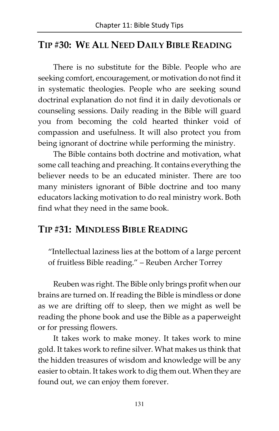### TIP #30: WE ALL NEED DAILY BIBLE READING

There is no substitute for the Bible. People who are seeking comfort, encouragement, or motivation do not find it in systematic theologies. People who are seeking sound doctrinal explanation do not find it in daily devotionals or counseling sessions. Daily reading in the Bible will guard you from becoming the cold hearted thinker void of compassion and usefulness. It will also protect you from being ignorant of doctrine while performing the ministry.

The Bible contains both doctrine and motivation, what some call teaching and preaching. It contains everything the believer needs to be an educated minister. There are too many ministers ignorant of Bible doctrine and too many educators lacking motivation to do real ministry work. Both find what they need in the same book.

#### TIP #31: MINDLESS BIBLE READING

"Intellectual laziness lies at the bottom of a large percent of fruitless Bible reading." – Reuben Archer Torrey

Reuben was right. The Bible only brings profit when our brains are turned on. If reading the Bible is mindless or done as we are drifting off to sleep, then we might as well be reading the phone book and use the Bible as a paperweight or for pressing flowers.

It takes work to make money. It takes work to mine gold. It takes work to refine silver. What makes us think that the hidden treasures of wisdom and knowledge will be any easier to obtain. It takes work to dig them out. When they are found out, we can enjoy them forever.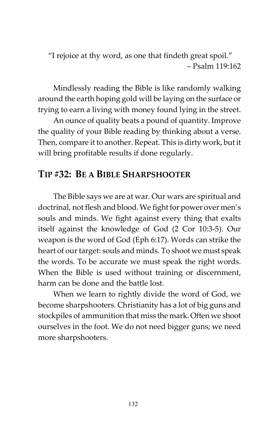"I rejoice at thy word, as one that findeth great spoil." – Psalm 119:162

Mindlessly reading the Bible is like randomly walking around the earth hoping gold will be laying on the surface or trying to earn a living with money found lying in the street.

An ounce of quality beats a pound of quantity. Improve the quality of your Bible reading by thinking about a verse. Then, compare it to another. Repeat. This is dirty work, but it will bring profitable results if done regularly.

#### TIP #32: BE A BIBLE SHARPSHOOTER

The Bible says we are at war. Our wars are spiritual and doctrinal, not flesh and blood. We fight for power over men's souls and minds. We fight against every thing that exalts itself against the knowledge of God (2 Cor 10:3-5). Our weapon is the word of God (Eph 6:17). Words can strike the heart of our target: souls and minds. To shoot we must speak the words. To be accurate we must speak the right words. When the Bible is used without training or discernment, harm can be done and the battle lost.

When we learn to rightly divide the word of God, we become sharpshooters. Christianity has a lot of big guns and stockpiles of ammunition that miss the mark. Often we shoot ourselves in the foot. We do not need bigger guns; we need more sharpshooters.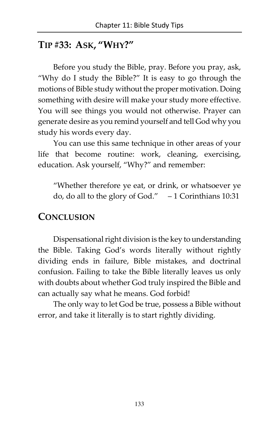### TIP #33: ASK, "WHY?"

Before you study the Bible, pray. Before you pray, ask, "Why do I study the Bible?" It is easy to go through the motions of Bible study without the proper motivation. Doing something with desire will make your study more effective. You will see things you would not otherwise. Prayer can generate desire as you remind yourself and tell God why you study his words every day.

You can use this same technique in other areas of your life that become routine: work, cleaning, exercising, education. Ask yourself, "Why?" and remember:

"Whether therefore ye eat, or drink, or whatsoever ye do, do all to the glory of God." – 1 Corinthians 10:31

#### **CONCLUSION**

Dispensational right division is the key to understanding the Bible. Taking God's words literally without rightly dividing ends in failure, Bible mistakes, and doctrinal confusion. Failing to take the Bible literally leaves us only with doubts about whether God truly inspired the Bible and can actually say what he means. God forbid!

The only way to let God be true, possess a Bible without error, and take it literally is to start rightly dividing.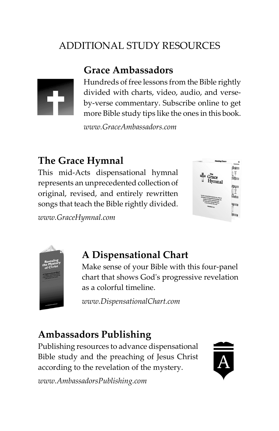# ADDITIONAL STUDY RESOURCES

# [Grace Ambassadors](http://www.graceambassadors.com)



Hundreds of free lessons from the Bible rightly divided with charts, video, audio, and verseby-verse commentary. Subscribe online to get more Bible study tips like the ones in this book.

www.GraceAmbassadors.com

# [The Grace Hymnal](http://www.gracehymnal.com)

This mid-Acts dispensational hymnal represents an unprecedented collection of original, revised, and entirely rewritten songs that teach the Bible rightly divided.

[www.GraceHymnal.com](http://www.GraceHymnal.com) 





# [A Dispensational Chart](http://www.dispensationalchart.com)

Make sense of your Bible with this four-panel chart that shows God's progressive revelation as a colorful timeline.

[www.DispensationalChart.com](http://www.DispensationalChart.com) 

# [Ambassadors Publishing](http://www.ambassadorspublishing.com)

Publishing resources to advance dispensational Bible study and the preaching of Jesus Christ according to the revelation of the mystery.



[www.AmbassadorsPublishing.com](http://www.AmbassadorsPublishing.com)